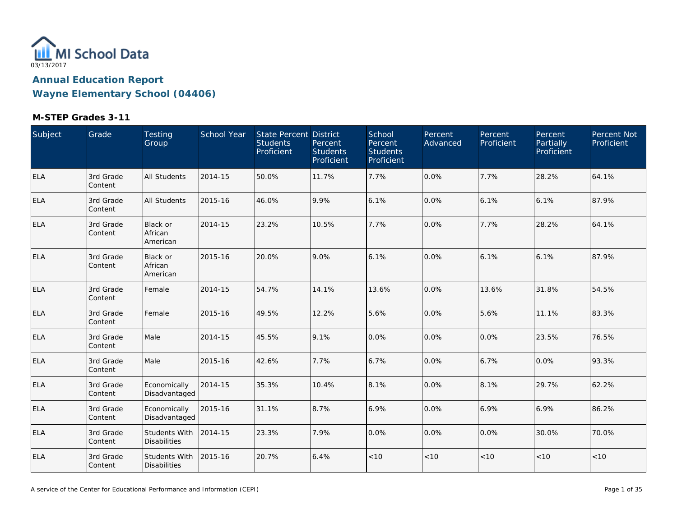

| Subject    | Grade                | Testing<br>Group                            | School Year | State Percent District<br><b>Students</b><br>Proficient | Percent<br><b>Students</b><br>Proficient | School<br>Percent<br><b>Students</b><br>Proficient | Percent<br>Advanced | Percent<br>Proficient | Percent<br>Partially<br>Proficient | Percent Not<br>Proficient |
|------------|----------------------|---------------------------------------------|-------------|---------------------------------------------------------|------------------------------------------|----------------------------------------------------|---------------------|-----------------------|------------------------------------|---------------------------|
| <b>ELA</b> | 3rd Grade<br>Content | <b>All Students</b>                         | 2014-15     | 50.0%                                                   | 11.7%                                    | 7.7%                                               | 0.0%                | 7.7%                  | 28.2%                              | 64.1%                     |
| ELA        | 3rd Grade<br>Content | <b>All Students</b>                         | 2015-16     | 46.0%                                                   | 9.9%                                     | 6.1%                                               | 0.0%                | 6.1%                  | 6.1%                               | 87.9%                     |
| ELA        | 3rd Grade<br>Content | Black or<br>African<br>American             | 2014-15     | 23.2%                                                   | 10.5%                                    | 7.7%                                               | 0.0%                | 7.7%                  | 28.2%                              | 64.1%                     |
| ELA        | 3rd Grade<br>Content | Black or<br>African<br>American             | 2015-16     | 20.0%                                                   | 9.0%                                     | 6.1%                                               | 0.0%                | 6.1%                  | 6.1%                               | 87.9%                     |
| <b>ELA</b> | 3rd Grade<br>Content | Female                                      | 2014-15     | 54.7%                                                   | 14.1%                                    | 13.6%                                              | 0.0%                | 13.6%                 | 31.8%                              | 54.5%                     |
| <b>ELA</b> | 3rd Grade<br>Content | Female                                      | 2015-16     | 49.5%                                                   | 12.2%                                    | 5.6%                                               | 0.0%                | 5.6%                  | 11.1%                              | 83.3%                     |
| <b>ELA</b> | 3rd Grade<br>Content | Male                                        | 2014-15     | 45.5%                                                   | 9.1%                                     | 0.0%                                               | 0.0%                | 0.0%                  | 23.5%                              | 76.5%                     |
| <b>ELA</b> | 3rd Grade<br>Content | Male                                        | 2015-16     | 42.6%                                                   | 7.7%                                     | 6.7%                                               | 0.0%                | 6.7%                  | 0.0%                               | 93.3%                     |
| <b>ELA</b> | 3rd Grade<br>Content | Economically<br>Disadvantaged               | 2014-15     | 35.3%                                                   | 10.4%                                    | 8.1%                                               | 0.0%                | 8.1%                  | 29.7%                              | 62.2%                     |
| ELA        | 3rd Grade<br>Content | Economically<br>Disadvantaged               | 2015-16     | 31.1%                                                   | 8.7%                                     | 6.9%                                               | 0.0%                | 6.9%                  | 6.9%                               | 86.2%                     |
| <b>ELA</b> | 3rd Grade<br>Content | Students With<br><b>Disabilities</b>        | 2014-15     | 23.3%                                                   | 7.9%                                     | 0.0%                                               | 0.0%                | $0.0\%$               | 30.0%                              | 70.0%                     |
| <b>ELA</b> | 3rd Grade<br>Content | <b>Students With</b><br><b>Disabilities</b> | 2015-16     | 20.7%                                                   | 6.4%                                     | < 10                                               | $<10$               | < 10                  | < 10                               | <10                       |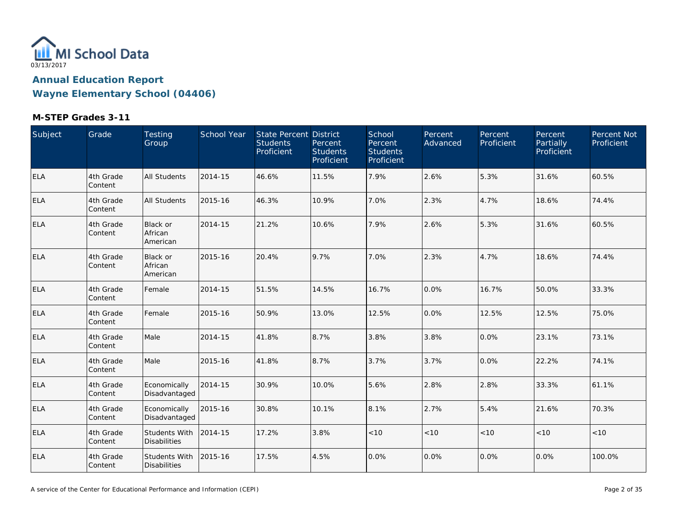

| Subject    | Grade                | Testing<br>Group                       | School Year | State Percent District<br><b>Students</b><br>Proficient | Percent<br><b>Students</b><br>Proficient | School<br>Percent<br><b>Students</b><br>Proficient | Percent<br>Advanced | Percent<br>Proficient | Percent<br>Partially<br>Proficient | Percent Not<br>Proficient |
|------------|----------------------|----------------------------------------|-------------|---------------------------------------------------------|------------------------------------------|----------------------------------------------------|---------------------|-----------------------|------------------------------------|---------------------------|
| ELA        | 4th Grade<br>Content | <b>All Students</b>                    | 2014-15     | 46.6%                                                   | 11.5%                                    | 7.9%                                               | 2.6%                | 5.3%                  | 31.6%                              | 60.5%                     |
| <b>ELA</b> | 4th Grade<br>Content | All Students                           | 2015-16     | 46.3%                                                   | 10.9%                                    | 7.0%                                               | 2.3%                | 4.7%                  | 18.6%                              | 74.4%                     |
| <b>ELA</b> | 4th Grade<br>Content | <b>Black or</b><br>African<br>American | 2014-15     | 21.2%                                                   | 10.6%                                    | 7.9%                                               | 2.6%                | 5.3%                  | 31.6%                              | 60.5%                     |
| <b>ELA</b> | 4th Grade<br>Content | <b>Black or</b><br>African<br>American | 2015-16     | 20.4%                                                   | 9.7%                                     | 7.0%                                               | 2.3%                | 4.7%                  | 18.6%                              | 74.4%                     |
| <b>ELA</b> | 4th Grade<br>Content | Female                                 | 2014-15     | 51.5%                                                   | 14.5%                                    | 16.7%                                              | 0.0%                | 16.7%                 | 50.0%                              | 33.3%                     |
| <b>ELA</b> | 4th Grade<br>Content | Female                                 | 2015-16     | 50.9%                                                   | 13.0%                                    | 12.5%                                              | 0.0%                | 12.5%                 | 12.5%                              | 75.0%                     |
| <b>ELA</b> | 4th Grade<br>Content | Male                                   | 2014-15     | 41.8%                                                   | 8.7%                                     | 3.8%                                               | 3.8%                | 0.0%                  | 23.1%                              | 73.1%                     |
| <b>ELA</b> | 4th Grade<br>Content | Male                                   | 2015-16     | 41.8%                                                   | 8.7%                                     | 3.7%                                               | 3.7%                | 0.0%                  | 22.2%                              | 74.1%                     |
| ELA        | 4th Grade<br>Content | Economically<br>Disadvantaged          | 2014-15     | 30.9%                                                   | 10.0%                                    | 5.6%                                               | 2.8%                | 2.8%                  | 33.3%                              | 61.1%                     |
| <b>ELA</b> | 4th Grade<br>Content | Economically<br>Disadvantaged          | 2015-16     | 30.8%                                                   | 10.1%                                    | 8.1%                                               | 2.7%                | 5.4%                  | 21.6%                              | 70.3%                     |
| <b>ELA</b> | 4th Grade<br>Content | Students With<br><b>Disabilities</b>   | 2014-15     | 17.2%                                                   | 3.8%                                     | < 10                                               | < 10                | < 10                  | < 10                               | < 10                      |
| <b>ELA</b> | 4th Grade<br>Content | Students With<br><b>Disabilities</b>   | 2015-16     | 17.5%                                                   | 4.5%                                     | 0.0%                                               | 0.0%                | 0.0%                  | 0.0%                               | 100.0%                    |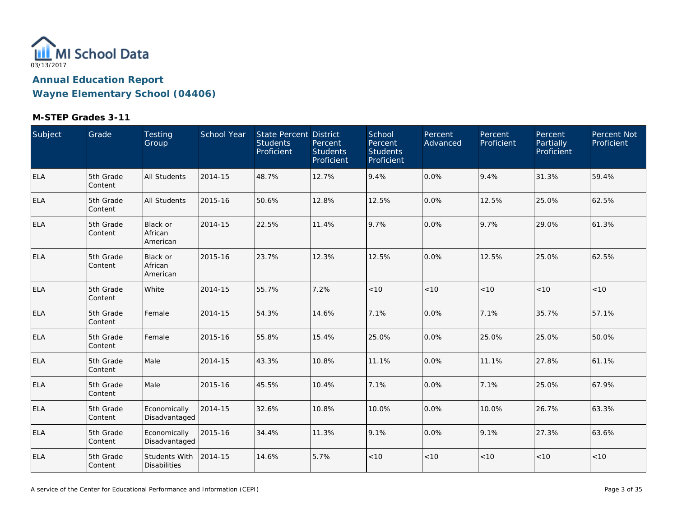

| Subject    | Grade                | Testing<br>Group                       | School Year | State Percent District<br><b>Students</b><br>Proficient | Percent<br><b>Students</b><br>Proficient | School<br>Percent<br><b>Students</b><br>Proficient | Percent<br>Advanced | Percent<br>Proficient | Percent<br>Partially<br>Proficient | Percent Not<br>Proficient |
|------------|----------------------|----------------------------------------|-------------|---------------------------------------------------------|------------------------------------------|----------------------------------------------------|---------------------|-----------------------|------------------------------------|---------------------------|
| ELA        | 5th Grade<br>Content | <b>All Students</b>                    | 2014-15     | 48.7%                                                   | 12.7%                                    | 9.4%                                               | 0.0%                | 9.4%                  | 31.3%                              | 59.4%                     |
| <b>ELA</b> | 5th Grade<br>Content | All Students                           | 2015-16     | 50.6%                                                   | 12.8%                                    | 12.5%                                              | 0.0%                | 12.5%                 | 25.0%                              | 62.5%                     |
| <b>ELA</b> | 5th Grade<br>Content | <b>Black or</b><br>African<br>American | 2014-15     | 22.5%                                                   | 11.4%                                    | 9.7%                                               | 0.0%                | 9.7%                  | 29.0%                              | 61.3%                     |
| ELA        | 5th Grade<br>Content | <b>Black or</b><br>African<br>American | 2015-16     | 23.7%                                                   | 12.3%                                    | 12.5%                                              | 0.0%                | 12.5%                 | 25.0%                              | 62.5%                     |
| <b>ELA</b> | 5th Grade<br>Content | White                                  | 2014-15     | 55.7%                                                   | 7.2%                                     | $<10$                                              | $<10$               | < 10                  | $<10$                              | < 10                      |
| <b>ELA</b> | 5th Grade<br>Content | Female                                 | 2014-15     | 54.3%                                                   | 14.6%                                    | 7.1%                                               | 0.0%                | 7.1%                  | 35.7%                              | 57.1%                     |
| <b>ELA</b> | 5th Grade<br>Content | Female                                 | 2015-16     | 55.8%                                                   | 15.4%                                    | 25.0%                                              | 0.0%                | 25.0%                 | 25.0%                              | 50.0%                     |
| <b>ELA</b> | 5th Grade<br>Content | Male                                   | 2014-15     | 43.3%                                                   | 10.8%                                    | 11.1%                                              | 0.0%                | 11.1%                 | 27.8%                              | 61.1%                     |
| <b>ELA</b> | 5th Grade<br>Content | Male                                   | 2015-16     | 45.5%                                                   | 10.4%                                    | 7.1%                                               | 0.0%                | 7.1%                  | 25.0%                              | 67.9%                     |
| <b>ELA</b> | 5th Grade<br>Content | Economically<br>Disadvantaged          | 2014-15     | 32.6%                                                   | 10.8%                                    | 10.0%                                              | 0.0%                | 10.0%                 | 26.7%                              | 63.3%                     |
| <b>ELA</b> | 5th Grade<br>Content | Economically<br>Disadvantaged          | 2015-16     | 34.4%                                                   | 11.3%                                    | 9.1%                                               | 0.0%                | 9.1%                  | 27.3%                              | 63.6%                     |
| <b>ELA</b> | 5th Grade<br>Content | Students With<br><b>Disabilities</b>   | 2014-15     | 14.6%                                                   | 5.7%                                     | < 10                                               | $<10$               | < 10                  | < 10                               | < 10                      |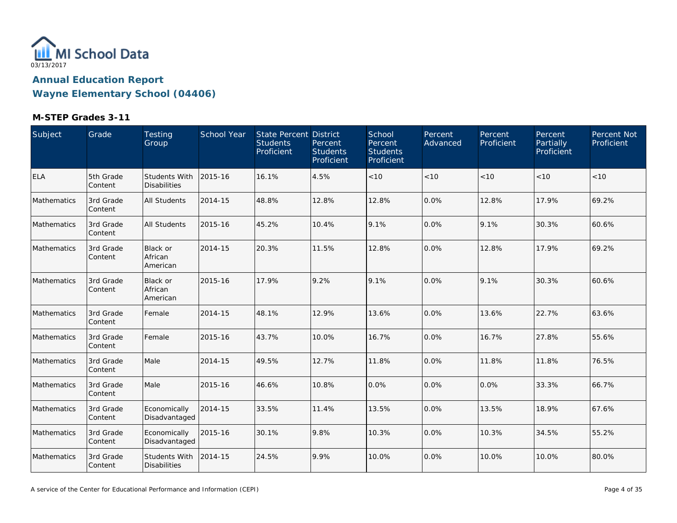

| Subject     | Grade                | Testing<br>Group                            | School Year | State Percent District<br><b>Students</b><br>Proficient | Percent<br><b>Students</b><br>Proficient | School<br>Percent<br><b>Students</b><br>Proficient | Percent<br>Advanced | Percent<br>Proficient | Percent<br>Partially<br>Proficient | Percent Not<br>Proficient |
|-------------|----------------------|---------------------------------------------|-------------|---------------------------------------------------------|------------------------------------------|----------------------------------------------------|---------------------|-----------------------|------------------------------------|---------------------------|
| <b>ELA</b>  | 5th Grade<br>Content | <b>Students With</b><br><b>Disabilities</b> | 2015-16     | 16.1%                                                   | 4.5%                                     | $<10$                                              | < 10                | < 10                  | < 10                               | < 10                      |
| Mathematics | 3rd Grade<br>Content | All Students                                | 2014-15     | 48.8%                                                   | 12.8%                                    | 12.8%                                              | 0.0%                | 12.8%                 | 17.9%                              | 69.2%                     |
| Mathematics | 3rd Grade<br>Content | All Students                                | 2015-16     | 45.2%                                                   | 10.4%                                    | 9.1%                                               | 0.0%                | 9.1%                  | 30.3%                              | 60.6%                     |
| Mathematics | 3rd Grade<br>Content | Black or<br>African<br>American             | 2014-15     | 20.3%                                                   | 11.5%                                    | 12.8%                                              | 0.0%                | 12.8%                 | 17.9%                              | 69.2%                     |
| Mathematics | 3rd Grade<br>Content | Black or<br>African<br>American             | 2015-16     | 17.9%                                                   | 9.2%                                     | 9.1%                                               | 0.0%                | 9.1%                  | 30.3%                              | 60.6%                     |
| Mathematics | 3rd Grade<br>Content | Female                                      | 2014-15     | 48.1%                                                   | 12.9%                                    | 13.6%                                              | 0.0%                | 13.6%                 | 22.7%                              | 63.6%                     |
| Mathematics | 3rd Grade<br>Content | Female                                      | 2015-16     | 43.7%                                                   | 10.0%                                    | 16.7%                                              | 0.0%                | 16.7%                 | 27.8%                              | 55.6%                     |
| Mathematics | 3rd Grade<br>Content | Male                                        | 2014-15     | 49.5%                                                   | 12.7%                                    | 11.8%                                              | 0.0%                | 11.8%                 | 11.8%                              | 76.5%                     |
| Mathematics | 3rd Grade<br>Content | Male                                        | 2015-16     | 46.6%                                                   | 10.8%                                    | 0.0%                                               | 0.0%                | 0.0%                  | 33.3%                              | 66.7%                     |
| Mathematics | 3rd Grade<br>Content | Economically<br>Disadvantaged               | 2014-15     | 33.5%                                                   | 11.4%                                    | 13.5%                                              | 0.0%                | 13.5%                 | 18.9%                              | 67.6%                     |
| Mathematics | 3rd Grade<br>Content | Economically<br>Disadvantaged               | 2015-16     | 30.1%                                                   | 9.8%                                     | 10.3%                                              | 0.0%                | 10.3%                 | 34.5%                              | 55.2%                     |
| Mathematics | 3rd Grade<br>Content | <b>Students With</b><br><b>Disabilities</b> | 2014-15     | 24.5%                                                   | 9.9%                                     | 10.0%                                              | 0.0%                | 10.0%                 | 10.0%                              | 80.0%                     |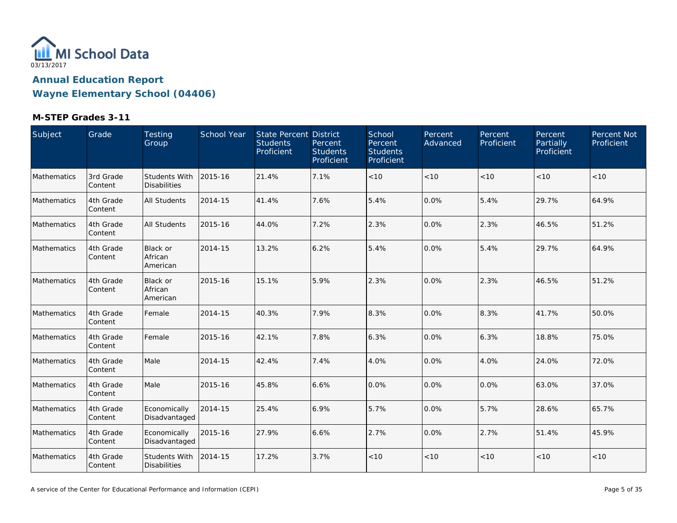

| Subject     | Grade                | Testing<br>Group                       | School Year | State Percent District<br><b>Students</b><br>Proficient | Percent<br><b>Students</b><br>Proficient | School<br>Percent<br><b>Students</b><br>Proficient | Percent<br>Advanced | Percent<br>Proficient | Percent<br>Partially<br>Proficient | Percent Not<br>Proficient |
|-------------|----------------------|----------------------------------------|-------------|---------------------------------------------------------|------------------------------------------|----------------------------------------------------|---------------------|-----------------------|------------------------------------|---------------------------|
| Mathematics | 3rd Grade<br>Content | Students With<br><b>Disabilities</b>   | 2015-16     | 21.4%                                                   | 7.1%                                     | < 10                                               | < 10                | < 10                  | < 10                               | < 10                      |
| Mathematics | 4th Grade<br>Content | All Students                           | 2014-15     | 41.4%                                                   | 7.6%                                     | 5.4%                                               | 0.0%                | 5.4%                  | 29.7%                              | 64.9%                     |
| Mathematics | 4th Grade<br>Content | All Students                           | 2015-16     | 44.0%                                                   | 7.2%                                     | 2.3%                                               | 0.0%                | 2.3%                  | 46.5%                              | 51.2%                     |
| Mathematics | 4th Grade<br>Content | <b>Black or</b><br>African<br>American | 2014-15     | 13.2%                                                   | 6.2%                                     | 5.4%                                               | 0.0%                | 5.4%                  | 29.7%                              | 64.9%                     |
| Mathematics | 4th Grade<br>Content | Black or<br>African<br>American        | 2015-16     | 15.1%                                                   | 5.9%                                     | 2.3%                                               | 0.0%                | 2.3%                  | 46.5%                              | 51.2%                     |
| Mathematics | 4th Grade<br>Content | Female                                 | 2014-15     | 40.3%                                                   | 7.9%                                     | 8.3%                                               | 0.0%                | 8.3%                  | 41.7%                              | 50.0%                     |
| Mathematics | 4th Grade<br>Content | Female                                 | 2015-16     | 42.1%                                                   | 7.8%                                     | 6.3%                                               | 0.0%                | 6.3%                  | 18.8%                              | 75.0%                     |
| Mathematics | 4th Grade<br>Content | Male                                   | 2014-15     | 42.4%                                                   | 7.4%                                     | 4.0%                                               | 0.0%                | 4.0%                  | 24.0%                              | 72.0%                     |
| Mathematics | 4th Grade<br>Content | Male                                   | 2015-16     | 45.8%                                                   | 6.6%                                     | 0.0%                                               | 0.0%                | 0.0%                  | 63.0%                              | 37.0%                     |
| Mathematics | 4th Grade<br>Content | Economically<br>Disadvantaged          | 2014-15     | 25.4%                                                   | 6.9%                                     | 5.7%                                               | 0.0%                | 5.7%                  | 28.6%                              | 65.7%                     |
| Mathematics | 4th Grade<br>Content | Economically<br>Disadvantaged          | 2015-16     | 27.9%                                                   | 6.6%                                     | 2.7%                                               | 0.0%                | 2.7%                  | 51.4%                              | 45.9%                     |
| Mathematics | 4th Grade<br>Content | Students With<br><b>Disabilities</b>   | 2014-15     | 17.2%                                                   | 3.7%                                     | < 10                                               | < 10                | < 10                  | < 10                               | < 10                      |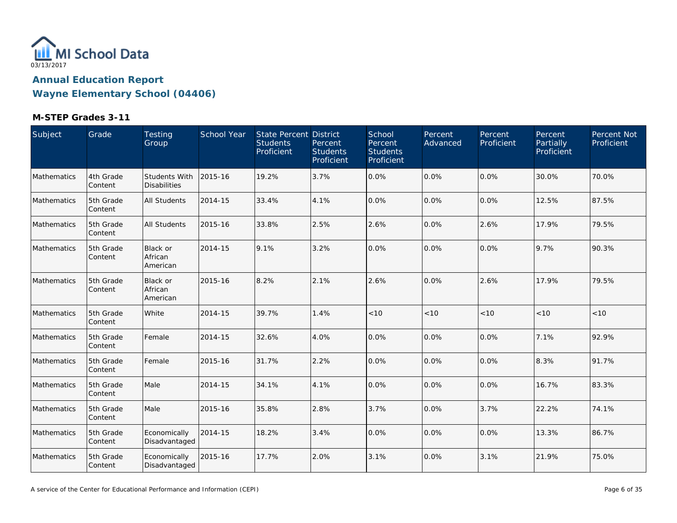

| Subject     | Grade                | Testing<br>Group                            | School Year | State Percent District<br><b>Students</b><br>Proficient | Percent<br><b>Students</b><br>Proficient | School<br>Percent<br><b>Students</b><br>Proficient | Percent<br>Advanced | Percent<br>Proficient | Percent<br>Partially<br>Proficient | Percent Not<br>Proficient |
|-------------|----------------------|---------------------------------------------|-------------|---------------------------------------------------------|------------------------------------------|----------------------------------------------------|---------------------|-----------------------|------------------------------------|---------------------------|
| Mathematics | 4th Grade<br>Content | <b>Students With</b><br><b>Disabilities</b> | 2015-16     | 19.2%                                                   | 3.7%                                     | 0.0%                                               | 0.0%                | 0.0%                  | 30.0%                              | 70.0%                     |
| Mathematics | 5th Grade<br>Content | All Students                                | 2014-15     | 33.4%                                                   | 4.1%                                     | 0.0%                                               | 0.0%                | $0.0\%$               | 12.5%                              | 87.5%                     |
| Mathematics | 5th Grade<br>Content | All Students                                | 2015-16     | 33.8%                                                   | 2.5%                                     | 2.6%                                               | 0.0%                | 2.6%                  | 17.9%                              | 79.5%                     |
| Mathematics | 5th Grade<br>Content | Black or<br>African<br>American             | 2014-15     | 9.1%                                                    | 3.2%                                     | 0.0%                                               | 0.0%                | $0.0\%$               | 9.7%                               | 90.3%                     |
| Mathematics | 5th Grade<br>Content | Black or<br>African<br>American             | 2015-16     | 8.2%                                                    | 2.1%                                     | 2.6%                                               | 0.0%                | 2.6%                  | 17.9%                              | 79.5%                     |
| Mathematics | 5th Grade<br>Content | White                                       | 2014-15     | 39.7%                                                   | 1.4%                                     | < 10                                               | < 10                | < 10                  | < 10                               | < 10                      |
| Mathematics | 5th Grade<br>Content | Female                                      | 2014-15     | 32.6%                                                   | 4.0%                                     | 0.0%                                               | 0.0%                | 0.0%                  | 7.1%                               | 92.9%                     |
| Mathematics | 5th Grade<br>Content | Female                                      | 2015-16     | 31.7%                                                   | 2.2%                                     | 0.0%                                               | 0.0%                | 0.0%                  | 8.3%                               | 91.7%                     |
| Mathematics | 5th Grade<br>Content | Male                                        | 2014-15     | 34.1%                                                   | 4.1%                                     | 0.0%                                               | 0.0%                | 0.0%                  | 16.7%                              | 83.3%                     |
| Mathematics | 5th Grade<br>Content | Male                                        | 2015-16     | 35.8%                                                   | 2.8%                                     | 3.7%                                               | 0.0%                | 3.7%                  | 22.2%                              | 74.1%                     |
| Mathematics | 5th Grade<br>Content | Economically<br>Disadvantaged               | 2014-15     | 18.2%                                                   | 3.4%                                     | 0.0%                                               | 0.0%                | 0.0%                  | 13.3%                              | 86.7%                     |
| Mathematics | 5th Grade<br>Content | Economically<br>Disadvantaged               | 2015-16     | 17.7%                                                   | 2.0%                                     | 3.1%                                               | 0.0%                | 3.1%                  | 21.9%                              | 75.0%                     |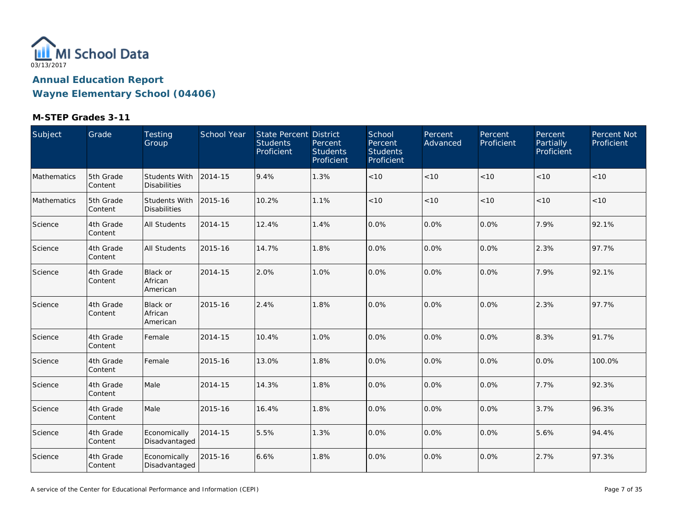

| Subject     | Grade                | Testing<br>Group                            | <b>School Year</b> | State Percent District<br><b>Students</b><br>Proficient | Percent<br><b>Students</b><br>Proficient | School<br>Percent<br><b>Students</b><br>Proficient | Percent<br>Advanced | Percent<br>Proficient | Percent<br>Partially<br>Proficient | Percent Not<br>Proficient |
|-------------|----------------------|---------------------------------------------|--------------------|---------------------------------------------------------|------------------------------------------|----------------------------------------------------|---------------------|-----------------------|------------------------------------|---------------------------|
| Mathematics | 5th Grade<br>Content | <b>Students With</b><br><b>Disabilities</b> | 2014-15            | 9.4%                                                    | 1.3%                                     | < 10                                               | < 10                | < 10                  | < 10                               | < 10                      |
| Mathematics | 5th Grade<br>Content | <b>Students With</b><br><b>Disabilities</b> | 2015-16            | 10.2%                                                   | 1.1%                                     | < 10                                               | $<10$               | < 10                  | < 10                               | < 10                      |
| Science     | 4th Grade<br>Content | <b>All Students</b>                         | 2014-15            | 12.4%                                                   | 1.4%                                     | 0.0%                                               | 0.0%                | 0.0%                  | 7.9%                               | 92.1%                     |
| Science     | 4th Grade<br>Content | <b>All Students</b>                         | 2015-16            | 14.7%                                                   | 1.8%                                     | 0.0%                                               | 0.0%                | 0.0%                  | 2.3%                               | 97.7%                     |
| Science     | 4th Grade<br>Content | Black or<br>African<br>American             | 2014-15            | 2.0%                                                    | 1.0%                                     | 0.0%                                               | 0.0%                | $0.0\%$               | 7.9%                               | 92.1%                     |
| Science     | 4th Grade<br>Content | Black or<br>African<br>American             | 2015-16            | 2.4%                                                    | 1.8%                                     | 0.0%                                               | 0.0%                | $0.0\%$               | 2.3%                               | 97.7%                     |
| Science     | 4th Grade<br>Content | Female                                      | 2014-15            | 10.4%                                                   | 1.0%                                     | 0.0%                                               | 0.0%                | 0.0%                  | 8.3%                               | 91.7%                     |
| Science     | 4th Grade<br>Content | Female                                      | 2015-16            | 13.0%                                                   | 1.8%                                     | 0.0%                                               | 0.0%                | 0.0%                  | 0.0%                               | 100.0%                    |
| Science     | 4th Grade<br>Content | Male                                        | 2014-15            | 14.3%                                                   | 1.8%                                     | 0.0%                                               | 0.0%                | 0.0%                  | 7.7%                               | 92.3%                     |
| Science     | 4th Grade<br>Content | Male                                        | 2015-16            | 16.4%                                                   | 1.8%                                     | 0.0%                                               | 0.0%                | 0.0%                  | 3.7%                               | 96.3%                     |
| Science     | 4th Grade<br>Content | Economically<br>Disadvantaged               | 2014-15            | 5.5%                                                    | 1.3%                                     | 0.0%                                               | 0.0%                | 0.0%                  | 5.6%                               | 94.4%                     |
| Science     | 4th Grade<br>Content | Economically<br>Disadvantaged               | 2015-16            | 6.6%                                                    | 1.8%                                     | 0.0%                                               | 0.0%                | 0.0%                  | 2.7%                               | 97.3%                     |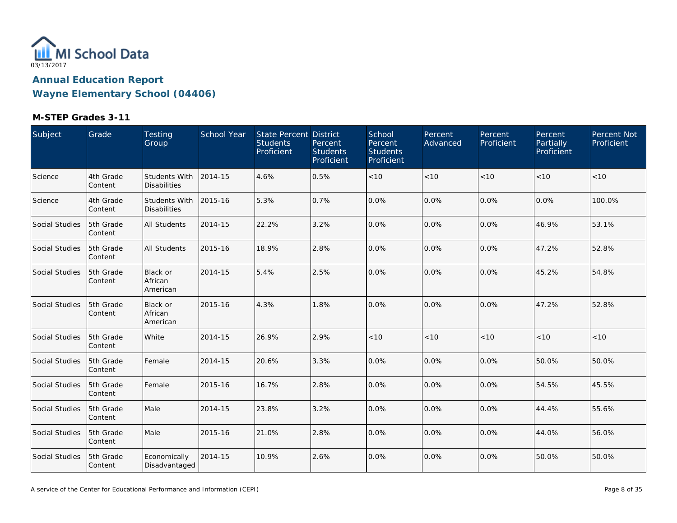

| Subject               | Grade                | Testing<br>Group                            | School Year | State Percent District<br><b>Students</b><br>Proficient | Percent<br><b>Students</b><br>Proficient | School<br>Percent<br><b>Students</b><br>Proficient | Percent<br>Advanced | Percent<br>Proficient | Percent<br>Partially<br>Proficient | Percent Not<br>Proficient |
|-----------------------|----------------------|---------------------------------------------|-------------|---------------------------------------------------------|------------------------------------------|----------------------------------------------------|---------------------|-----------------------|------------------------------------|---------------------------|
| Science               | 4th Grade<br>Content | <b>Students With</b><br><b>Disabilities</b> | 2014-15     | 4.6%                                                    | 0.5%                                     | < 10                                               | < 10                | < 10                  | < 10                               | < 10                      |
| Science               | 4th Grade<br>Content | <b>Students With</b><br><b>Disabilities</b> | 2015-16     | 5.3%                                                    | 0.7%                                     | 0.0%                                               | 0.0%                | 0.0%                  | 0.0%                               | 100.0%                    |
| Social Studies        | 5th Grade<br>Content | <b>All Students</b>                         | 2014-15     | 22.2%                                                   | 3.2%                                     | 0.0%                                               | 0.0%                | 0.0%                  | 46.9%                              | 53.1%                     |
| <b>Social Studies</b> | 5th Grade<br>Content | <b>All Students</b>                         | 2015-16     | 18.9%                                                   | 2.8%                                     | 0.0%                                               | 0.0%                | 0.0%                  | 47.2%                              | 52.8%                     |
| <b>Social Studies</b> | 5th Grade<br>Content | <b>Black or</b><br>African<br>American      | 2014-15     | 5.4%                                                    | 2.5%                                     | 0.0%                                               | 0.0%                | $0.0\%$               | 45.2%                              | 54.8%                     |
| Social Studies        | 5th Grade<br>Content | <b>Black or</b><br>African<br>American      | 2015-16     | 4.3%                                                    | 1.8%                                     | 0.0%                                               | 0.0%                | $0.0\%$               | 47.2%                              | 52.8%                     |
| <b>Social Studies</b> | 5th Grade<br>Content | White                                       | 2014-15     | 26.9%                                                   | 2.9%                                     | < 10                                               | < 10                | < 10                  | < 10                               | < 10                      |
| <b>Social Studies</b> | 5th Grade<br>Content | Female                                      | 2014-15     | 20.6%                                                   | 3.3%                                     | 0.0%                                               | 0.0%                | 0.0%                  | 50.0%                              | 50.0%                     |
| Social Studies        | 5th Grade<br>Content | Female                                      | 2015-16     | 16.7%                                                   | 2.8%                                     | 0.0%                                               | 0.0%                | 0.0%                  | 54.5%                              | 45.5%                     |
| Social Studies        | 5th Grade<br>Content | Male                                        | 2014-15     | 23.8%                                                   | 3.2%                                     | 0.0%                                               | 0.0%                | 0.0%                  | 44.4%                              | 55.6%                     |
| <b>Social Studies</b> | 5th Grade<br>Content | Male                                        | 2015-16     | 21.0%                                                   | 2.8%                                     | 0.0%                                               | 0.0%                | 0.0%                  | 44.0%                              | 56.0%                     |
| Social Studies        | 5th Grade<br>Content | Economically<br>Disadvantaged               | 2014-15     | 10.9%                                                   | 2.6%                                     | 0.0%                                               | 0.0%                | 0.0%                  | 50.0%                              | 50.0%                     |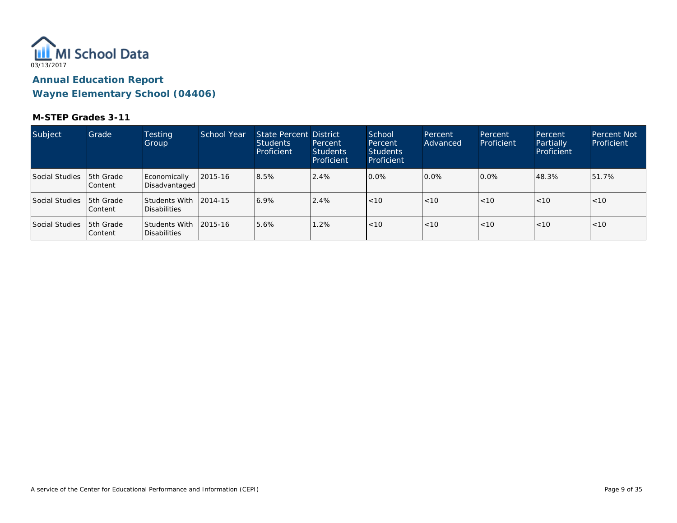

| Subject        | Grade                        | <b>Testing</b><br>Group                | School Year | State Percent District<br><b>Students</b><br>Proficient | Percent<br><b>Students</b><br>Proficient | School<br>Percent<br><b>Students</b><br>Proficient | Percent<br>Advanced | Percent<br>Proficient | Percent<br>Partially<br>Proficient | <b>Percent Not</b><br>Proficient |
|----------------|------------------------------|----------------------------------------|-------------|---------------------------------------------------------|------------------------------------------|----------------------------------------------------|---------------------|-----------------------|------------------------------------|----------------------------------|
| Social Studies | <b>5th Grade</b><br>lContent | Economically<br>Disadvantaged          | 2015-16     | 8.5%                                                    | 2.4%                                     | 0.0%                                               | 10.0%               | $0.0\%$               | 48.3%                              | 51.7%                            |
| Social Studies | 15th Grade<br> Content       | Students With 12014-15<br>Disabilities |             | 6.9%                                                    | 2.4%                                     | $\vert$ < 10                                       | $ $ < 10            | < 10                  | < 10                               | < 10                             |
| Social Studies | <b>5th Grade</b><br>lContent | Students With 12015-16<br>Disabilities |             | 5.6%                                                    | 1.2%                                     | < 10                                               | < 10                | < 10                  | < 10                               | < 10                             |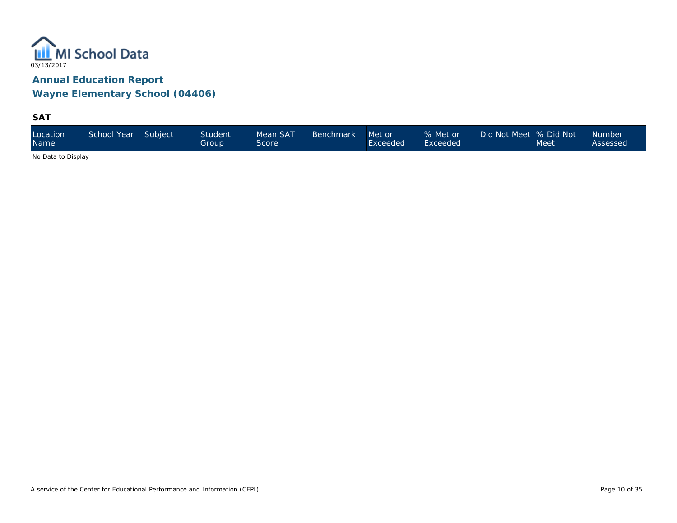

**SAT**

| Location<br><b>Name</b> | School Year | Subject | Student <sup>1</sup><br>Group | Mean SAT<br>Score | <b>Benchmark</b> | Met or<br>Exceeded | % Met or<br>Exceeded | Did Not Meet % Did Not | Meet | <b>Number</b><br>Assessed |
|-------------------------|-------------|---------|-------------------------------|-------------------|------------------|--------------------|----------------------|------------------------|------|---------------------------|
|-------------------------|-------------|---------|-------------------------------|-------------------|------------------|--------------------|----------------------|------------------------|------|---------------------------|

No Data to Display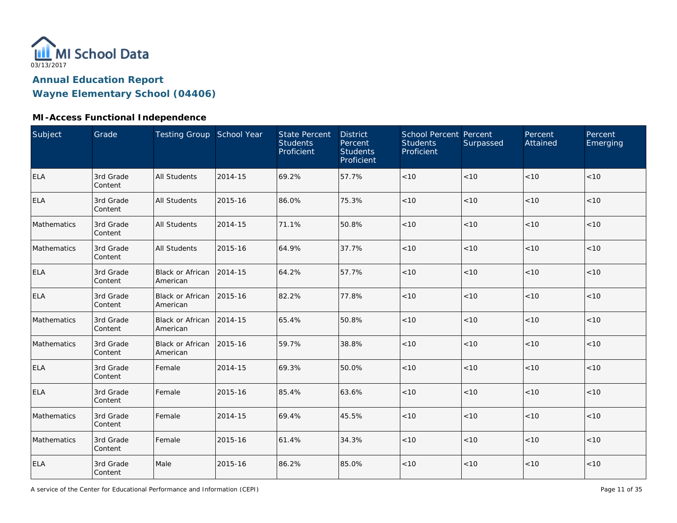

**Wayne Elementary School (04406)**

### **MI-Access Functional Independence**

| Subject     | Grade                | Testing Group School Year           |         | <b>State Percent</b><br><b>Students</b><br>Proficient | <b>District</b><br>Percent<br><b>Students</b><br>Proficient | School Percent Percent<br><b>Students</b><br>Proficient | Surpassed | Percent<br>Attained | Percent<br>Emerging |
|-------------|----------------------|-------------------------------------|---------|-------------------------------------------------------|-------------------------------------------------------------|---------------------------------------------------------|-----------|---------------------|---------------------|
| <b>ELA</b>  | 3rd Grade<br>Content | <b>All Students</b>                 | 2014-15 | 69.2%                                                 | 57.7%                                                       | $<10$                                                   | < 10      | < 10                | < 10                |
| <b>ELA</b>  | 3rd Grade<br>Content | <b>All Students</b>                 | 2015-16 | 86.0%                                                 | 75.3%                                                       | < 10                                                    | < 10      | < 10                | < 10                |
| Mathematics | 3rd Grade<br>Content | <b>All Students</b>                 | 2014-15 | 71.1%                                                 | 50.8%                                                       | < 10                                                    | $<10$     | < 10                | < 10                |
| Mathematics | 3rd Grade<br>Content | <b>All Students</b>                 | 2015-16 | 64.9%                                                 | 37.7%                                                       | $<10$                                                   | < 10      | < 10                | $<10$               |
| ELA         | 3rd Grade<br>Content | <b>Black or African</b><br>American | 2014-15 | 64.2%                                                 | 57.7%                                                       | < 10                                                    | < 10      | < 10                | < 10                |
| <b>ELA</b>  | 3rd Grade<br>Content | <b>Black or African</b><br>American | 2015-16 | 82.2%                                                 | 77.8%                                                       | < 10                                                    | < 10      | < 10                | < 10                |
| Mathematics | 3rd Grade<br>Content | <b>Black or African</b><br>American | 2014-15 | 65.4%                                                 | 50.8%                                                       | < 10                                                    | < 10      | < 10                | < 10                |
| Mathematics | 3rd Grade<br>Content | <b>Black or African</b><br>American | 2015-16 | 59.7%                                                 | 38.8%                                                       | $<10$                                                   | < 10      | < 10                | < 10                |
| <b>ELA</b>  | 3rd Grade<br>Content | Female                              | 2014-15 | 69.3%                                                 | 50.0%                                                       | < 10                                                    | < 10      | < 10                | < 10                |
| <b>ELA</b>  | 3rd Grade<br>Content | Female                              | 2015-16 | 85.4%                                                 | 63.6%                                                       | $<10$                                                   | < 10      | < 10                | < 10                |
| Mathematics | 3rd Grade<br>Content | Female                              | 2014-15 | 69.4%                                                 | 45.5%                                                       | $<10$                                                   | < 10      | < 10                | < 10                |
| Mathematics | 3rd Grade<br>Content | Female                              | 2015-16 | 61.4%                                                 | 34.3%                                                       | $<10$                                                   | < 10      | < 10                | < 10                |
| <b>ELA</b>  | 3rd Grade<br>Content | Male                                | 2015-16 | 86.2%                                                 | 85.0%                                                       | < 10                                                    | $<10$     | < 10                | < 10                |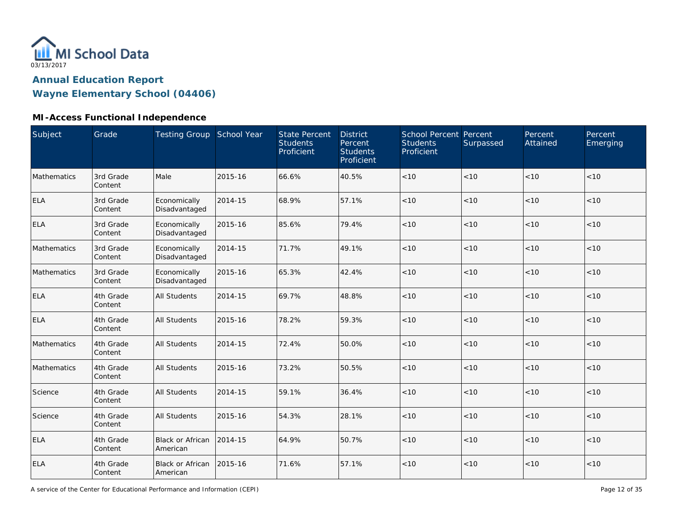

**Wayne Elementary School (04406)**

### **MI-Access Functional Independence**

| Subject     | Grade                | Testing Group School Year           |         | <b>State Percent</b><br><b>Students</b><br>Proficient | <b>District</b><br>Percent<br><b>Students</b><br>Proficient | School Percent Percent<br><b>Students</b><br>Proficient | Surpassed | Percent<br>Attained | Percent<br>Emerging |
|-------------|----------------------|-------------------------------------|---------|-------------------------------------------------------|-------------------------------------------------------------|---------------------------------------------------------|-----------|---------------------|---------------------|
| Mathematics | 3rd Grade<br>Content | Male                                | 2015-16 | 66.6%                                                 | 40.5%                                                       | < 10                                                    | < 10      | < 10                | < 10                |
| ELA         | 3rd Grade<br>Content | Economically<br>Disadvantaged       | 2014-15 | 68.9%                                                 | 57.1%                                                       | $<10$                                                   | < 10      | < 10                | $<10$               |
| <b>ELA</b>  | 3rd Grade<br>Content | Economically<br>Disadvantaged       | 2015-16 | 85.6%                                                 | 79.4%                                                       | < 10                                                    | < 10      | < 10                | < 10                |
| Mathematics | 3rd Grade<br>Content | Economically<br>Disadvantaged       | 2014-15 | 71.7%                                                 | 49.1%                                                       | $<10$                                                   | < 10      | < 10                | < 10                |
| Mathematics | 3rd Grade<br>Content | Economically<br>Disadvantaged       | 2015-16 | 65.3%                                                 | 42.4%                                                       | $<10$                                                   | <10       | $<10$               | $<10$               |
| <b>ELA</b>  | 4th Grade<br>Content | <b>All Students</b>                 | 2014-15 | 69.7%                                                 | 48.8%                                                       | $<10$                                                   | < 10      | < 10                | $<10$               |
| ELA         | 4th Grade<br>Content | All Students                        | 2015-16 | 78.2%                                                 | 59.3%                                                       | $<10$                                                   | <10       | < 10                | $<10$               |
| Mathematics | 4th Grade<br>Content | All Students                        | 2014-15 | 72.4%                                                 | 50.0%                                                       | < 10                                                    | < 10      | < 10                | < 10                |
| Mathematics | 4th Grade<br>Content | <b>All Students</b>                 | 2015-16 | 73.2%                                                 | 50.5%                                                       | < 10                                                    | < 10      | < 10                | < 10                |
| Science     | 4th Grade<br>Content | <b>All Students</b>                 | 2014-15 | 59.1%                                                 | 36.4%                                                       | < 10                                                    | < 10      | < 10                | < 10                |
| Science     | 4th Grade<br>Content | All Students                        | 2015-16 | 54.3%                                                 | 28.1%                                                       | < 10                                                    | < 10      | < 10                | < 10                |
| ELA         | 4th Grade<br>Content | <b>Black or African</b><br>American | 2014-15 | 64.9%                                                 | 50.7%                                                       | < 10                                                    | < 10      | < 10                | < 10                |
| ELA         | 4th Grade<br>Content | Black or African<br>American        | 2015-16 | 71.6%                                                 | 57.1%                                                       | < 10                                                    | < 10      | < 10                | $<10$               |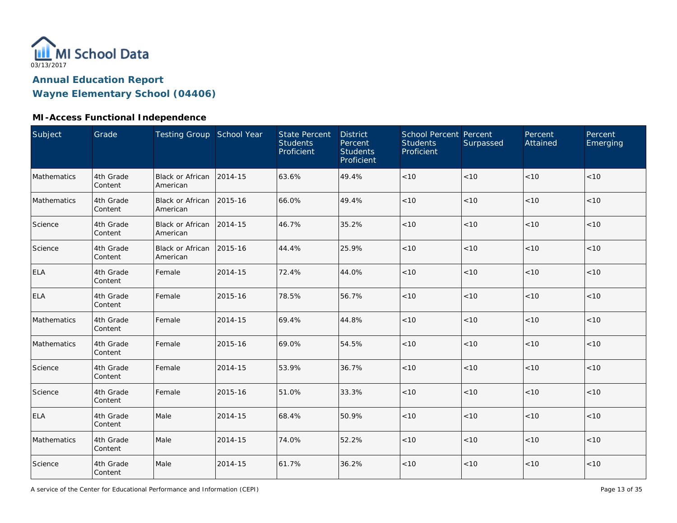

**Wayne Elementary School (04406)**

### **MI-Access Functional Independence**

| Subject     | Grade                | Testing Group School Year              |         | <b>State Percent</b><br><b>Students</b><br>Proficient | <b>District</b><br>Percent<br><b>Students</b><br>Proficient | <b>School Percent Percent</b><br><b>Students</b><br>Proficient | Surpassed | Percent<br>Attained | Percent<br>Emerging |
|-------------|----------------------|----------------------------------------|---------|-------------------------------------------------------|-------------------------------------------------------------|----------------------------------------------------------------|-----------|---------------------|---------------------|
| Mathematics | 4th Grade<br>Content | Black or African<br>American           | 2014-15 | 63.6%                                                 | 49.4%                                                       | $<10$                                                          | < 10      | < 10                | < 10                |
| Mathematics | 4th Grade<br>Content | Black or African   2015-16<br>American |         | 66.0%                                                 | 49.4%                                                       | $<10$                                                          | < 10      | < 10                | < 10                |
| Science     | 4th Grade<br>Content | Black or African 2014-15<br>American   |         | 46.7%                                                 | 35.2%                                                       | $<10$                                                          | $<10$     | < 10                | < 10                |
| Science     | 4th Grade<br>Content | Black or African<br>American           | 2015-16 | 44.4%                                                 | 25.9%                                                       | < 10                                                           | < 10      | $<10$               | < 10                |
| <b>ELA</b>  | 4th Grade<br>Content | Female                                 | 2014-15 | 72.4%                                                 | 44.0%                                                       | < 10                                                           | < 10      | < 10                | < 10                |
| <b>ELA</b>  | 4th Grade<br>Content | Female                                 | 2015-16 | 78.5%                                                 | 56.7%                                                       | < 10                                                           | < 10      | < 10                | < 10                |
| Mathematics | 4th Grade<br>Content | Female                                 | 2014-15 | 69.4%                                                 | 44.8%                                                       | < 10                                                           | < 10      | < 10                | < 10                |
| Mathematics | 4th Grade<br>Content | Female                                 | 2015-16 | 69.0%                                                 | 54.5%                                                       | < 10                                                           | < 10      | < 10                | < 10                |
| Science     | 4th Grade<br>Content | Female                                 | 2014-15 | 53.9%                                                 | 36.7%                                                       | $<10$                                                          | < 10      | < 10                | $<10$               |
| Science     | 4th Grade<br>Content | Female                                 | 2015-16 | 51.0%                                                 | 33.3%                                                       | $<10$                                                          | < 10      | < 10                | < 10                |
| <b>ELA</b>  | 4th Grade<br>Content | Male                                   | 2014-15 | 68.4%                                                 | 50.9%                                                       | $<10$                                                          | < 10      | < 10                | < 10                |
| Mathematics | 4th Grade<br>Content | Male                                   | 2014-15 | 74.0%                                                 | 52.2%                                                       | $<10$                                                          | < 10      | < 10                | < 10                |
| Science     | 4th Grade<br>Content | Male                                   | 2014-15 | 61.7%                                                 | 36.2%                                                       | $<10$                                                          | $<10$     | $<10$               | $<10$               |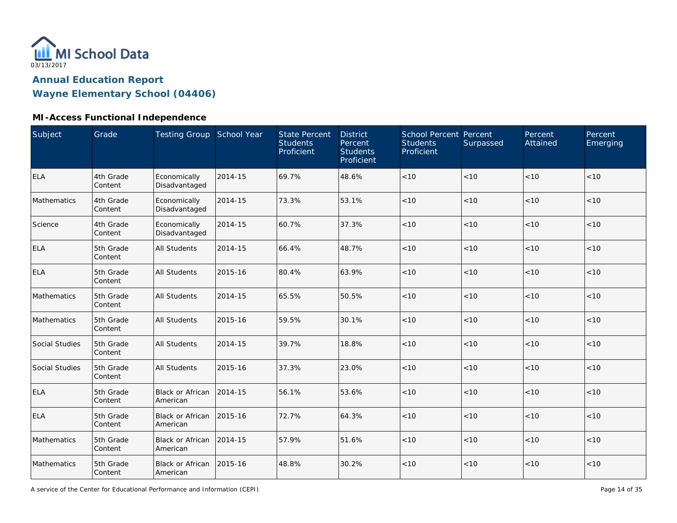

**Wayne Elementary School (04406)**

### **MI-Access Functional Independence**

| Subject        | Grade                | Testing Group School Year            |         | <b>State Percent</b><br><b>Students</b><br>Proficient | <b>District</b><br>Percent<br><b>Students</b><br>Proficient | School Percent Percent<br><b>Students</b><br>Proficient | Surpassed | Percent<br>Attained | Percent<br>Emerging |
|----------------|----------------------|--------------------------------------|---------|-------------------------------------------------------|-------------------------------------------------------------|---------------------------------------------------------|-----------|---------------------|---------------------|
| <b>ELA</b>     | 4th Grade<br>Content | Economically<br>Disadvantaged        | 2014-15 | 69.7%                                                 | 48.6%                                                       | < 10                                                    | < 10      | < 10                | < 10                |
| Mathematics    | 4th Grade<br>Content | Economically<br>Disadvantaged        | 2014-15 | 73.3%                                                 | 53.1%                                                       | < 10                                                    | < 10      | < 10                | < 10                |
| Science        | 4th Grade<br>Content | Economically<br>Disadvantaged        | 2014-15 | 60.7%                                                 | 37.3%                                                       | < 10                                                    | < 10      | < 10                | < 10                |
| <b>ELA</b>     | 5th Grade<br>Content | <b>All Students</b>                  | 2014-15 | 66.4%                                                 | 48.7%                                                       | < 10                                                    | < 10      | < 10                | < 10                |
| <b>ELA</b>     | 5th Grade<br>Content | <b>All Students</b>                  | 2015-16 | 80.4%                                                 | 63.9%                                                       | < 10                                                    | < 10      | < 10                | < 10                |
| Mathematics    | 5th Grade<br>Content | <b>All Students</b>                  | 2014-15 | 65.5%                                                 | 50.5%                                                       | < 10                                                    | < 10      | < 10                | < 10                |
| Mathematics    | 5th Grade<br>Content | <b>All Students</b>                  | 2015-16 | 59.5%                                                 | 30.1%                                                       | < 10                                                    | < 10      | < 10                | < 10                |
| Social Studies | 5th Grade<br>Content | <b>All Students</b>                  | 2014-15 | 39.7%                                                 | 18.8%                                                       | < 10                                                    | < 10      | < 10                | < 10                |
| Social Studies | 5th Grade<br>Content | <b>All Students</b>                  | 2015-16 | 37.3%                                                 | 23.0%                                                       | $<10$                                                   | < 10      | < 10                | < 10                |
| <b>ELA</b>     | 5th Grade<br>Content | Black or African<br>American         | 2014-15 | 56.1%                                                 | 53.6%                                                       | $<10$                                                   | < 10      | < 10                | < 10                |
| <b>ELA</b>     | 5th Grade<br>Content | Black or African<br>American         | 2015-16 | 72.7%                                                 | 64.3%                                                       | $<10$                                                   | < 10      | < 10                | < 10                |
| Mathematics    | 5th Grade<br>Content | Black or African<br>American         | 2014-15 | 57.9%                                                 | 51.6%                                                       | < 10                                                    | < 10      | < 10                | < 10                |
| Mathematics    | 5th Grade<br>Content | Black or African 2015-16<br>American |         | 48.8%                                                 | 30.2%                                                       | < 10                                                    | < 10      | < 10                | < 10                |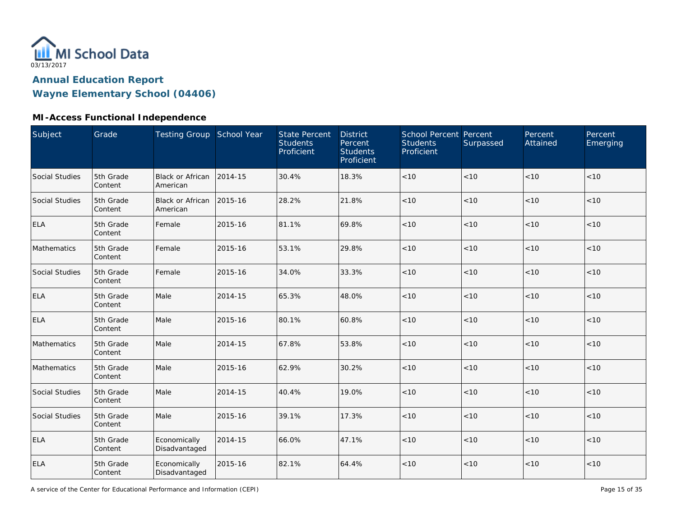

**Wayne Elementary School (04406)**

### **MI-Access Functional Independence**

| Subject        | Grade                | Testing Group School Year           |         | <b>State Percent</b><br><b>Students</b><br>Proficient | <b>District</b><br>Percent<br><b>Students</b><br>Proficient | School Percent Percent<br><b>Students</b><br>Proficient | Surpassed | Percent<br>Attained | Percent<br>Emerging |
|----------------|----------------------|-------------------------------------|---------|-------------------------------------------------------|-------------------------------------------------------------|---------------------------------------------------------|-----------|---------------------|---------------------|
| Social Studies | 5th Grade<br>Content | <b>Black or African</b><br>American | 2014-15 | 30.4%                                                 | 18.3%                                                       | $<10$                                                   | < 10      | < 10                | < 10                |
| Social Studies | 5th Grade<br>Content | Black or African<br>American        | 2015-16 | 28.2%                                                 | 21.8%                                                       | $<10$                                                   | < 10      | < 10                | < 10                |
| <b>ELA</b>     | 5th Grade<br>Content | Female                              | 2015-16 | 81.1%                                                 | 69.8%                                                       | $<10$                                                   | < 10      | < 10                | < 10                |
| Mathematics    | 5th Grade<br>Content | Female                              | 2015-16 | 53.1%                                                 | 29.8%                                                       | $<10$                                                   | < 10      | <10                 | $<10$               |
| Social Studies | 5th Grade<br>Content | Female                              | 2015-16 | 34.0%                                                 | 33.3%                                                       | < 10                                                    | < 10      | < 10                | < 10                |
| <b>ELA</b>     | 5th Grade<br>Content | Male                                | 2014-15 | 65.3%                                                 | 48.0%                                                       | < 10                                                    | < 10      | < 10                | < 10                |
| <b>ELA</b>     | 5th Grade<br>Content | Male                                | 2015-16 | 80.1%                                                 | 60.8%                                                       | < 10                                                    | < 10      | < 10                | < 10                |
| Mathematics    | 5th Grade<br>Content | Male                                | 2014-15 | 67.8%                                                 | 53.8%                                                       | $<10$                                                   | < 10      | < 10                | < 10                |
| Mathematics    | 5th Grade<br>Content | Male                                | 2015-16 | 62.9%                                                 | 30.2%                                                       | < 10                                                    | < 10      | < 10                | < 10                |
| Social Studies | 5th Grade<br>Content | Male                                | 2014-15 | 40.4%                                                 | 19.0%                                                       | $<10$                                                   | < 10      | < 10                | < 10                |
| Social Studies | 5th Grade<br>Content | Male                                | 2015-16 | 39.1%                                                 | 17.3%                                                       | $<10$                                                   | < 10      | < 10                | < 10                |
| <b>ELA</b>     | 5th Grade<br>Content | Economically<br>Disadvantaged       | 2014-15 | 66.0%                                                 | 47.1%                                                       | $<10$                                                   | < 10      | < 10                | < 10                |
| <b>ELA</b>     | 5th Grade<br>Content | Economically<br>Disadvantaged       | 2015-16 | 82.1%                                                 | 64.4%                                                       | < 10                                                    | $<10$     | < 10                | < 10                |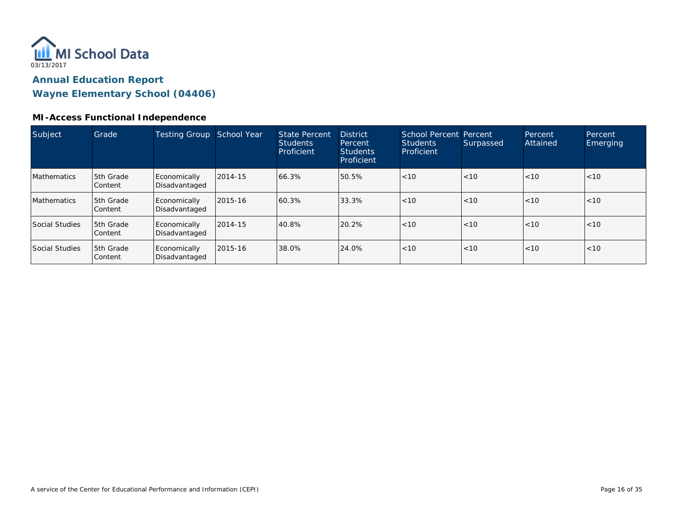

**Wayne Elementary School (04406)**

### **MI-Access Functional Independence**

| Subject               | Grade                       | Testing Group                 | School Year | <b>State Percent</b><br><b>Students</b><br>Proficient | <b>District</b><br>Percent<br><b>Students</b><br>Proficient | School Percent Percent<br><b>Students</b><br>Proficient | Surpassed | Percent<br>Attained | Percent<br>Emerging |
|-----------------------|-----------------------------|-------------------------------|-------------|-------------------------------------------------------|-------------------------------------------------------------|---------------------------------------------------------|-----------|---------------------|---------------------|
| <b>Mathematics</b>    | 5th Grade<br>Content        | Economically<br>Disadvantaged | 2014-15     | 66.3%                                                 | 50.5%                                                       | < 10                                                    | < 10      | < 10                | < 10                |
| <b>Mathematics</b>    | <b>5th Grade</b><br>Content | Economically<br>Disadvantaged | 2015-16     | 60.3%                                                 | 33.3%                                                       | $ $ < 10                                                | < 10      | < 10                | < 10                |
| Social Studies        | <b>5th Grade</b><br>Content | Economically<br>Disadvantaged | 2014-15     | 40.8%                                                 | 20.2%                                                       | $ $ < 10                                                | < 10      | < 10                | < 10                |
| <b>Social Studies</b> | 5th Grade<br>Content        | Economically<br>Disadvantaged | 2015-16     | 38.0%                                                 | 24.0%                                                       | $ $ < 10                                                | < 10      | < 10                | < 10                |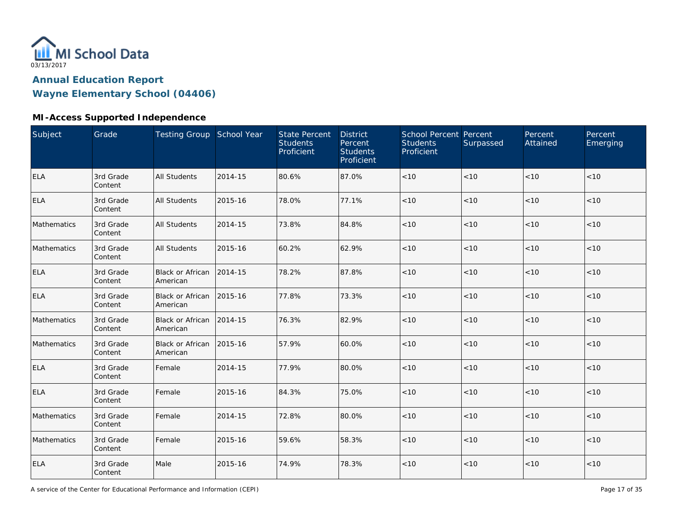

**Wayne Elementary School (04406)**

### **MI-Access Supported Independence**

| Subject     | Grade                | Testing Group School Year           |         | <b>State Percent</b><br><b>Students</b><br>Proficient | <b>District</b><br>Percent<br><b>Students</b><br>Proficient | School Percent Percent<br><b>Students</b><br>Proficient | Surpassed | Percent<br>Attained | Percent<br>Emerging |
|-------------|----------------------|-------------------------------------|---------|-------------------------------------------------------|-------------------------------------------------------------|---------------------------------------------------------|-----------|---------------------|---------------------|
| <b>ELA</b>  | 3rd Grade<br>Content | <b>All Students</b>                 | 2014-15 | 80.6%                                                 | 87.0%                                                       | < 10                                                    | < 10      | < 10                | < 10                |
| <b>ELA</b>  | 3rd Grade<br>Content | <b>All Students</b>                 | 2015-16 | 78.0%                                                 | 77.1%                                                       | < 10                                                    | < 10      | < 10                | < 10                |
| Mathematics | 3rd Grade<br>Content | <b>All Students</b>                 | 2014-15 | 73.8%                                                 | 84.8%                                                       | < 10                                                    | < 10      | < 10                | < 10                |
| Mathematics | 3rd Grade<br>Content | <b>All Students</b>                 | 2015-16 | 60.2%                                                 | 62.9%                                                       | $<10$                                                   | < 10      | < 10                | $<10$               |
| ELA         | 3rd Grade<br>Content | <b>Black or African</b><br>American | 2014-15 | 78.2%                                                 | 87.8%                                                       | < 10                                                    | <10       | < 10                | < 10                |
| <b>ELA</b>  | 3rd Grade<br>Content | <b>Black or African</b><br>American | 2015-16 | 77.8%                                                 | 73.3%                                                       | $<10$                                                   | <10       | < 10                | $<10$               |
| Mathematics | 3rd Grade<br>Content | <b>Black or African</b><br>American | 2014-15 | 76.3%                                                 | 82.9%                                                       | < 10                                                    | < 10      | < 10                | < 10                |
| Mathematics | 3rd Grade<br>Content | <b>Black or African</b><br>American | 2015-16 | 57.9%                                                 | 60.0%                                                       | < 10                                                    | < 10      | < 10                | < 10                |
| <b>ELA</b>  | 3rd Grade<br>Content | Female                              | 2014-15 | 77.9%                                                 | 80.0%                                                       | $<10$                                                   | < 10      | < 10                | $<10$               |
| <b>ELA</b>  | 3rd Grade<br>Content | Female                              | 2015-16 | 84.3%                                                 | 75.0%                                                       | < 10                                                    | < 10      | < 10                | < 10                |
| Mathematics | 3rd Grade<br>Content | Female                              | 2014-15 | 72.8%                                                 | 80.0%                                                       | $<10$                                                   | < 10      | < 10                | < 10                |
| Mathematics | 3rd Grade<br>Content | Female                              | 2015-16 | 59.6%                                                 | 58.3%                                                       | < 10                                                    | < 10      | < 10                | < 10                |
| <b>ELA</b>  | 3rd Grade<br>Content | Male                                | 2015-16 | 74.9%                                                 | 78.3%                                                       | < 10                                                    | < 10      | < 10                | $<10$               |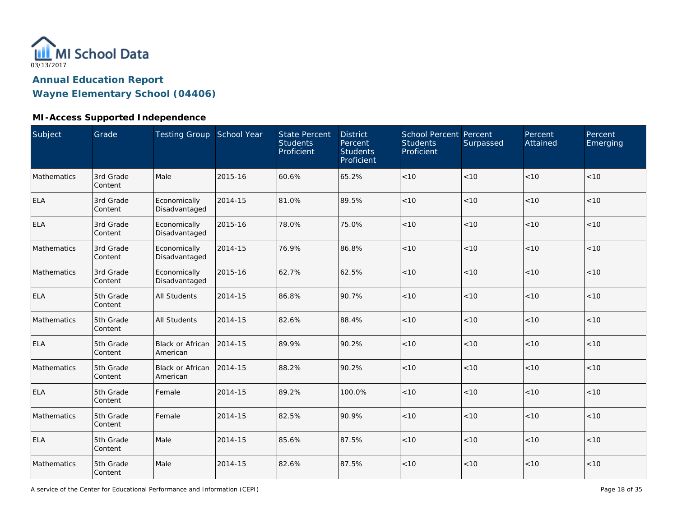

**Wayne Elementary School (04406)**

### **MI-Access Supported Independence**

| Subject     | Grade                | Testing Group School Year           |         | <b>State Percent</b><br><b>Students</b><br>Proficient | <b>District</b><br>Percent<br><b>Students</b><br>Proficient | School Percent Percent<br><b>Students</b><br>Proficient | Surpassed | Percent<br>Attained | Percent<br>Emerging |
|-------------|----------------------|-------------------------------------|---------|-------------------------------------------------------|-------------------------------------------------------------|---------------------------------------------------------|-----------|---------------------|---------------------|
| Mathematics | 3rd Grade<br>Content | Male                                | 2015-16 | 60.6%                                                 | 65.2%                                                       | < 10                                                    | < 10      | < 10                | < 10                |
| <b>ELA</b>  | 3rd Grade<br>Content | Economically<br>Disadvantaged       | 2014-15 | 81.0%                                                 | 89.5%                                                       | $<10$                                                   | < 10      | < 10                | $<10$               |
| <b>ELA</b>  | 3rd Grade<br>Content | Economically<br>Disadvantaged       | 2015-16 | 78.0%                                                 | 75.0%                                                       | $<10$                                                   | < 10      | < 10                | $<10$               |
| Mathematics | 3rd Grade<br>Content | Economically<br>Disadvantaged       | 2014-15 | 76.9%                                                 | 86.8%                                                       | < 10                                                    | < 10      | < 10                | < 10                |
| Mathematics | 3rd Grade<br>Content | Economically<br>Disadvantaged       | 2015-16 | 62.7%                                                 | 62.5%                                                       | < 10                                                    | < 10      | < 10                | < 10                |
| <b>ELA</b>  | 5th Grade<br>Content | <b>All Students</b>                 | 2014-15 | 86.8%                                                 | 90.7%                                                       | < 10                                                    | < 10      | < 10                | < 10                |
| Mathematics | 5th Grade<br>Content | <b>All Students</b>                 | 2014-15 | 82.6%                                                 | 88.4%                                                       | < 10                                                    | < 10      | < 10                | < 10                |
| <b>ELA</b>  | 5th Grade<br>Content | <b>Black or African</b><br>American | 2014-15 | 89.9%                                                 | 90.2%                                                       | < 10                                                    | < 10      | < 10                | < 10                |
| Mathematics | 5th Grade<br>Content | <b>Black or African</b><br>American | 2014-15 | 88.2%                                                 | 90.2%                                                       | $<10$                                                   | < 10      | < 10                | $<10$               |
| <b>ELA</b>  | 5th Grade<br>Content | Female                              | 2014-15 | 89.2%                                                 | 100.0%                                                      | < 10                                                    | < 10      | < 10                | < 10                |
| Mathematics | 5th Grade<br>Content | Female                              | 2014-15 | 82.5%                                                 | 90.9%                                                       | < 10                                                    | < 10      | < 10                | < 10                |
| <b>ELA</b>  | 5th Grade<br>Content | Male                                | 2014-15 | 85.6%                                                 | 87.5%                                                       | < 10                                                    | < 10      | < 10                | < 10                |
| Mathematics | 5th Grade<br>Content | Male                                | 2014-15 | 82.6%                                                 | 87.5%                                                       | $<10$                                                   | < 10      | < 10                | $<10$               |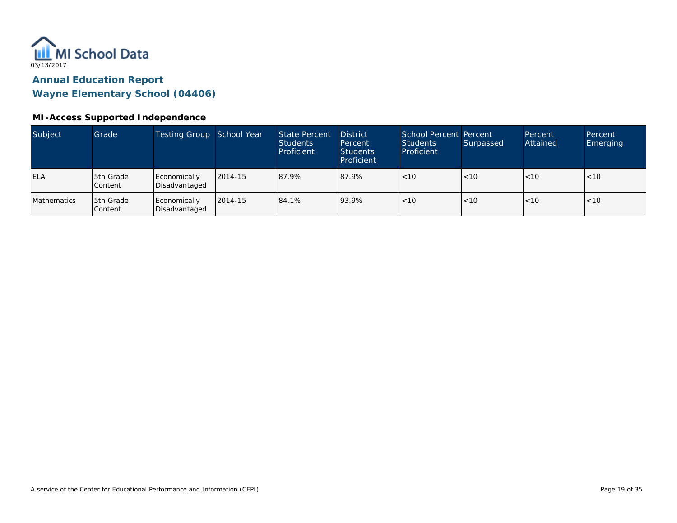

**Wayne Elementary School (04406)**

#### **MI-Access Supported Independence**

| Subject     | Grade                       | Testing Group School Year     |         | State Percent<br><b>Students</b><br>Proficient | <b>District</b><br>Percent<br><b>Students</b><br>Proficient | School Percent Percent<br>Students<br>Proficient | Surpassed | Percent<br>Attained | Percent<br><b>Emerging</b> |
|-------------|-----------------------------|-------------------------------|---------|------------------------------------------------|-------------------------------------------------------------|--------------------------------------------------|-----------|---------------------|----------------------------|
| <b>ELA</b>  | 5th Grade<br><b>Content</b> | Economically<br>Disadvantaged | 2014-15 | 87.9%                                          | 87.9%                                                       | < 10                                             | <10       | < 10                | < 10                       |
| Mathematics | 5th Grade<br>Content        | Economically<br>Disadvantaged | 2014-15 | 84.1%                                          | 93.9%                                                       | < 10                                             | < 10      | < 10                | ~10                        |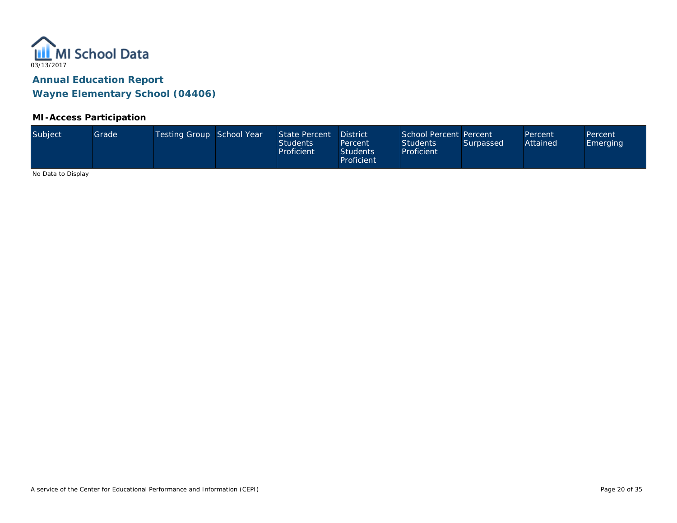

#### **MI-Access Participation**

| Subject<br>Testing Group School Year<br>School Percent Percent<br>State Percent<br>Grade<br><b>District</b><br>Percent<br>Attained<br><b>Students</b><br><b>Students</b><br>Surpassed<br>Percent<br>Proficient<br>Proficient<br><b>Students</b><br>Proficient | Percent<br>Emerging |  |
|---------------------------------------------------------------------------------------------------------------------------------------------------------------------------------------------------------------------------------------------------------------|---------------------|--|
|---------------------------------------------------------------------------------------------------------------------------------------------------------------------------------------------------------------------------------------------------------------|---------------------|--|

No Data to Display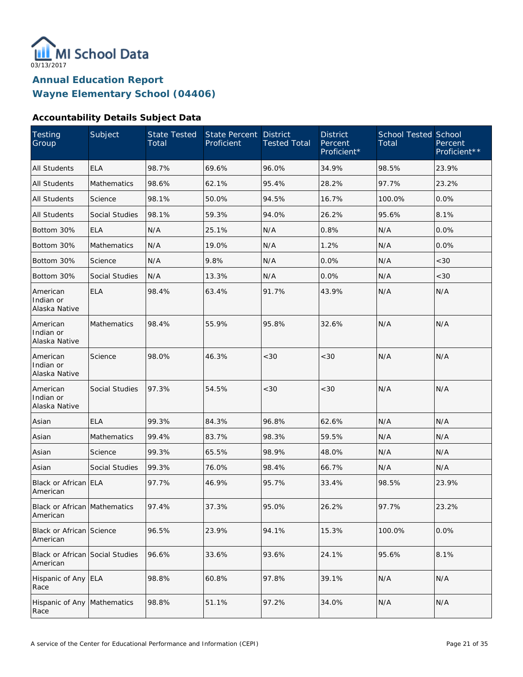

#### **Accountability Details Subject Data**

| Testing<br>Group                                | Subject               | State Tested<br>Total | State Percent<br>Proficient | <b>District</b><br><b>Tested Total</b> | <b>District</b><br>Percent<br>Proficient* | <b>School Tested School</b><br>Total | Percent<br>Proficient** |
|-------------------------------------------------|-----------------------|-----------------------|-----------------------------|----------------------------------------|-------------------------------------------|--------------------------------------|-------------------------|
| <b>All Students</b>                             | <b>ELA</b>            | 98.7%                 | 69.6%                       | 96.0%                                  | 34.9%                                     | 98.5%                                | 23.9%                   |
| All Students                                    | Mathematics           | 98.6%                 | 62.1%                       | 95.4%                                  | 28.2%                                     | 97.7%                                | 23.2%                   |
| All Students                                    | Science               | 98.1%                 | 50.0%                       | 94.5%                                  | 16.7%                                     | 100.0%                               | 0.0%                    |
| All Students                                    | <b>Social Studies</b> | 98.1%                 | 59.3%                       | 94.0%                                  | 26.2%                                     | 95.6%                                | 8.1%                    |
| Bottom 30%                                      | <b>ELA</b>            | N/A                   | 25.1%                       | N/A                                    | 0.8%                                      | N/A                                  | 0.0%                    |
| Bottom 30%                                      | Mathematics           | N/A                   | 19.0%                       | N/A                                    | 1.2%                                      | N/A                                  | 0.0%                    |
| Bottom 30%                                      | Science               | N/A                   | 9.8%                        | N/A                                    | 0.0%                                      | N/A                                  | <30                     |
| Bottom 30%                                      | <b>Social Studies</b> | N/A                   | 13.3%                       | N/A                                    | 0.0%                                      | N/A                                  | <30                     |
| American<br>Indian or<br>Alaska Native          | <b>ELA</b>            | 98.4%                 | 63.4%                       | 91.7%                                  | 43.9%                                     | N/A                                  | N/A                     |
| American<br>Indian or<br>Alaska Native          | Mathematics           | 98.4%                 | 55.9%                       | 95.8%                                  | 32.6%                                     | N/A                                  | N/A                     |
| American<br>Indian or<br>Alaska Native          | Science               | 98.0%                 | 46.3%                       | < 30                                   | < 30                                      | N/A                                  | N/A                     |
| American<br>Indian or<br>Alaska Native          | <b>Social Studies</b> | 97.3%                 | 54.5%                       | < 30                                   | <30                                       | N/A                                  | N/A                     |
| Asian                                           | <b>ELA</b>            | 99.3%                 | 84.3%                       | 96.8%                                  | 62.6%                                     | N/A                                  | N/A                     |
| Asian                                           | <b>Mathematics</b>    | 99.4%                 | 83.7%                       | 98.3%                                  | 59.5%                                     | N/A                                  | N/A                     |
| Asian                                           | Science               | 99.3%                 | 65.5%                       | 98.9%                                  | 48.0%                                     | N/A                                  | N/A                     |
| Asian                                           | <b>Social Studies</b> | 99.3%                 | 76.0%                       | 98.4%                                  | 66.7%                                     | N/A                                  | N/A                     |
| Black or African ELA<br>American                |                       | 97.7%                 | 46.9%                       | 95.7%                                  | 33.4%                                     | 98.5%                                | 23.9%                   |
| <b>Black or African Mathematics</b><br>American |                       | 97.4%                 | 37.3%                       | 95.0%                                  | 26.2%                                     | 97.7%                                | 23.2%                   |
| Black or African Science<br>American            |                       | 96.5%                 | 23.9%                       | 94.1%                                  | 15.3%                                     | 100.0%                               | 0.0%                    |
| Black or African Social Studies<br>American     |                       | 96.6%                 | 33.6%                       | 93.6%                                  | 24.1%                                     | 95.6%                                | 8.1%                    |
| Hispanic of Any ELA<br>Race                     |                       | 98.8%                 | 60.8%                       | 97.8%                                  | 39.1%                                     | N/A                                  | N/A                     |
| Hispanic of Any<br>Race                         | Mathematics           | 98.8%                 | 51.1%                       | 97.2%                                  | 34.0%                                     | N/A                                  | N/A                     |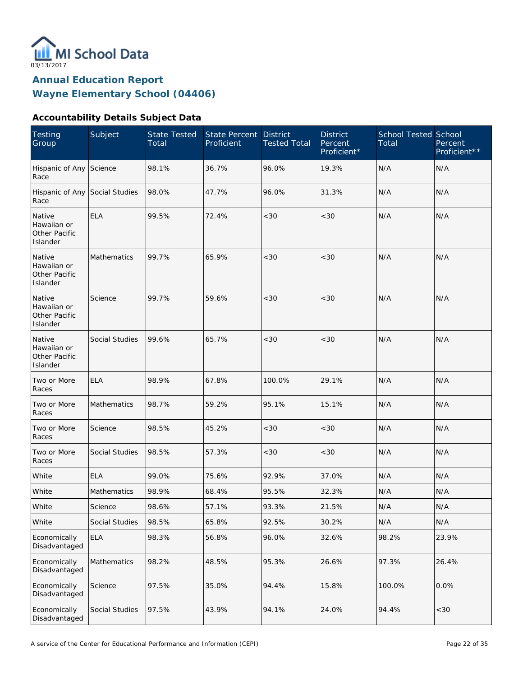

#### **Accountability Details Subject Data**

| <b>Testing</b><br>Group                            | Subject        | <b>State Tested</b><br>Total | State Percent<br>Proficient | <b>District</b><br><b>Tested Total</b> | <b>District</b><br>Percent<br>Proficient* | <b>School Tested School</b><br>Total | Percent<br>Proficient** |
|----------------------------------------------------|----------------|------------------------------|-----------------------------|----------------------------------------|-------------------------------------------|--------------------------------------|-------------------------|
| Hispanic of Any Science<br>Race                    |                | 98.1%                        | 36.7%                       | 96.0%                                  | 19.3%                                     | N/A                                  | N/A                     |
| Hispanic of Any Social Studies<br>Race             |                | 98.0%                        | 47.7%                       | 96.0%                                  | 31.3%                                     | N/A                                  | N/A                     |
| Native<br>Hawaiian or<br>Other Pacific<br>Islander | <b>ELA</b>     | 99.5%                        | 72.4%                       | $<30$                                  | <30                                       | N/A                                  | N/A                     |
| Native<br>Hawaiian or<br>Other Pacific<br>Islander | Mathematics    | 99.7%                        | 65.9%                       | $<30$                                  | < 30                                      | N/A                                  | N/A                     |
| Native<br>Hawaiian or<br>Other Pacific<br>Islander | Science        | 99.7%                        | 59.6%                       | $<30$                                  | < 30                                      | N/A                                  | N/A                     |
| Native<br>Hawaiian or<br>Other Pacific<br>Islander | Social Studies | 99.6%                        | 65.7%                       | $<30$                                  | <30                                       | N/A                                  | N/A                     |
| Two or More<br>Races                               | <b>ELA</b>     | 98.9%                        | 67.8%                       | 100.0%                                 | 29.1%                                     | N/A                                  | N/A                     |
| Two or More<br>Races                               | Mathematics    | 98.7%                        | 59.2%                       | 95.1%                                  | 15.1%                                     | N/A                                  | N/A                     |
| Two or More<br>Races                               | Science        | 98.5%                        | 45.2%                       | <30                                    | < 30                                      | N/A                                  | N/A                     |
| Two or More<br>Races                               | Social Studies | 98.5%                        | 57.3%                       | $<30$                                  | $<30$                                     | N/A                                  | N/A                     |
| White                                              | <b>ELA</b>     | 99.0%                        | 75.6%                       | 92.9%                                  | 37.0%                                     | N/A                                  | N/A                     |
| White                                              | Mathematics    | 98.9%                        | 68.4%                       | 95.5%                                  | 32.3%                                     | N/A                                  | N/A                     |
| White                                              | Science        | 98.6%                        | 57.1%                       | 93.3%                                  | 21.5%                                     | N/A                                  | N/A                     |
| White                                              | Social Studies | 98.5%                        | 65.8%                       | 92.5%                                  | 30.2%                                     | N/A                                  | N/A                     |
| Economically<br>Disadvantaged                      | <b>ELA</b>     | 98.3%                        | 56.8%                       | 96.0%                                  | 32.6%                                     | 98.2%                                | 23.9%                   |
| Economically<br>Disadvantaged                      | Mathematics    | 98.2%                        | 48.5%                       | 95.3%                                  | 26.6%                                     | 97.3%                                | 26.4%                   |
| Economically<br>Disadvantaged                      | Science        | 97.5%                        | 35.0%                       | 94.4%                                  | 15.8%                                     | 100.0%                               | 0.0%                    |
| Economically<br>Disadvantaged                      | Social Studies | 97.5%                        | 43.9%                       | 94.1%                                  | 24.0%                                     | 94.4%                                | $<30$                   |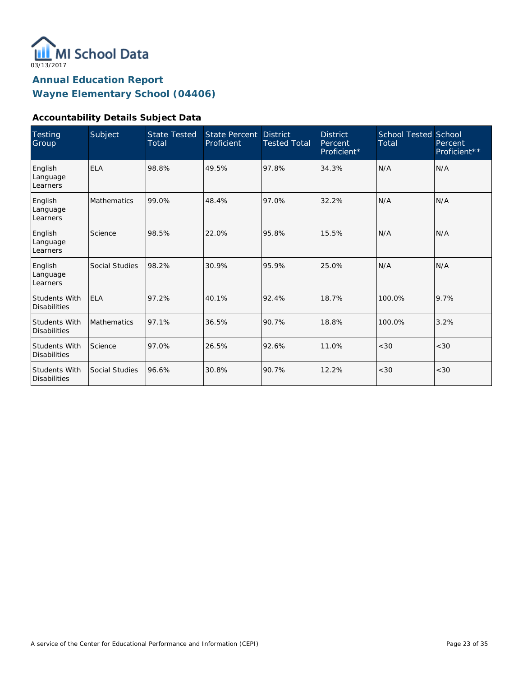

#### **Accountability Details Subject Data**

| Testing<br>Group                            | Subject            | <b>State Tested</b><br>Total | <b>State Percent</b><br>Proficient | <b>District</b><br><b>Tested Total</b> | <b>District</b><br>Percent<br>Proficient* | <b>School Tested School</b><br>Total | Percent<br>Proficient** |
|---------------------------------------------|--------------------|------------------------------|------------------------------------|----------------------------------------|-------------------------------------------|--------------------------------------|-------------------------|
| English<br>Language<br>Learners             | <b>ELA</b>         | 98.8%                        | 49.5%                              | 97.8%                                  | 34.3%                                     | N/A                                  | N/A                     |
| English<br>Language<br>Learners             | <b>Mathematics</b> | 99.0%                        | 48.4%                              | 97.0%                                  | 32.2%                                     | N/A                                  | N/A                     |
| English<br>Language<br>Learners             | Science            | 98.5%                        | 22.0%                              | 95.8%                                  | 15.5%                                     | N/A                                  | N/A                     |
| English<br>Language<br>Learners             | Social Studies     | 98.2%                        | 30.9%                              | 95.9%                                  | 25.0%                                     | N/A                                  | N/A                     |
| <b>Students With</b><br><b>Disabilities</b> | <b>ELA</b>         | 97.2%                        | 40.1%                              | 92.4%                                  | 18.7%                                     | 100.0%                               | 9.7%                    |
| <b>Students With</b><br><b>Disabilities</b> | Mathematics        | 97.1%                        | 36.5%                              | 90.7%                                  | 18.8%                                     | 100.0%                               | 3.2%                    |
| Students With<br><b>Disabilities</b>        | Science            | 97.0%                        | 26.5%                              | 92.6%                                  | 11.0%                                     | < 30                                 | <30                     |
| <b>Students With</b><br><b>Disabilities</b> | Social Studies     | 96.6%                        | 30.8%                              | 90.7%                                  | 12.2%                                     | <30                                  | < 30                    |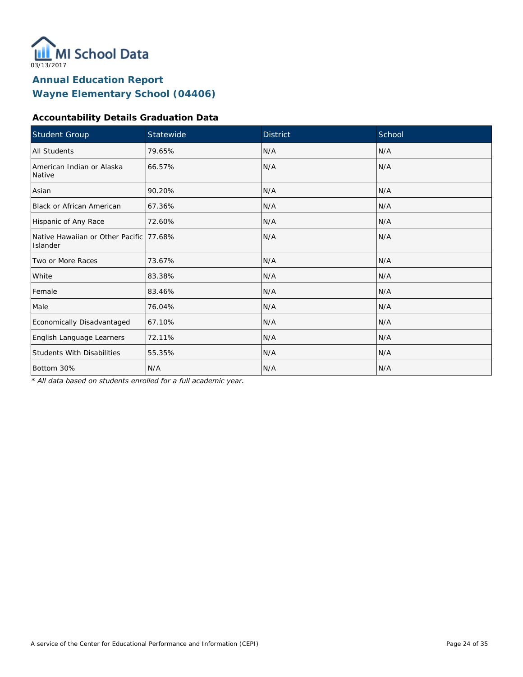

#### **Accountability Details Graduation Data**

| Student Group                                        | Statewide | <b>District</b> | School |
|------------------------------------------------------|-----------|-----------------|--------|
| All Students                                         | 79.65%    | N/A             | N/A    |
| American Indian or Alaska<br>Native                  | 66.57%    | N/A             | N/A    |
| Asian                                                | 90.20%    | N/A             | N/A    |
| <b>Black or African American</b>                     | 67.36%    | N/A             | N/A    |
| Hispanic of Any Race                                 | 72.60%    | N/A             | N/A    |
| Native Hawaiian or Other Pacific 177.68%<br>Islander |           | N/A             | N/A    |
| Two or More Races                                    | 73.67%    | N/A             | N/A    |
| White                                                | 83.38%    | N/A             | N/A    |
| Female                                               | 83.46%    | N/A             | N/A    |
| Male                                                 | 76.04%    | N/A             | N/A    |
| Economically Disadvantaged                           | 67.10%    | N/A             | N/A    |
| English Language Learners                            | 72.11%    | N/A             | N/A    |
| <b>Students With Disabilities</b>                    | 55.35%    | N/A             | N/A    |
| Bottom 30%                                           | N/A       | N/A             | N/A    |

*\* All data based on students enrolled for a full academic year.*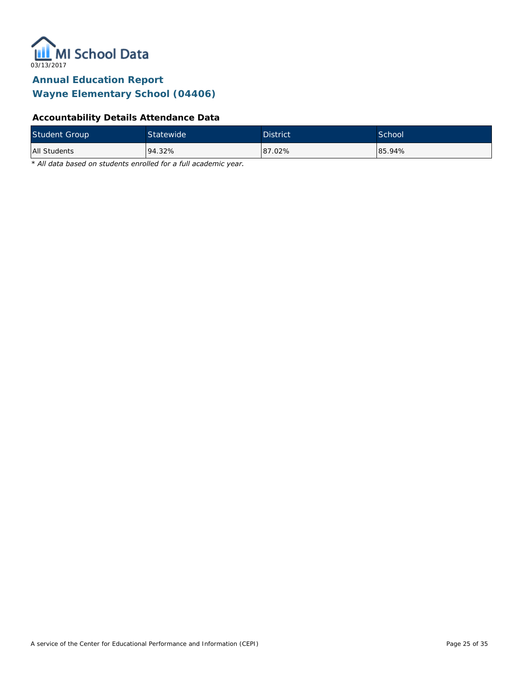

### **Accountability Details Attendance Data**

| <b>Student Group</b> | Statewide  | <b>District</b> | <b>School</b> |
|----------------------|------------|-----------------|---------------|
| All Students         | $194.32\%$ | 87.02%          | 85.94%        |

*\* All data based on students enrolled for a full academic year.*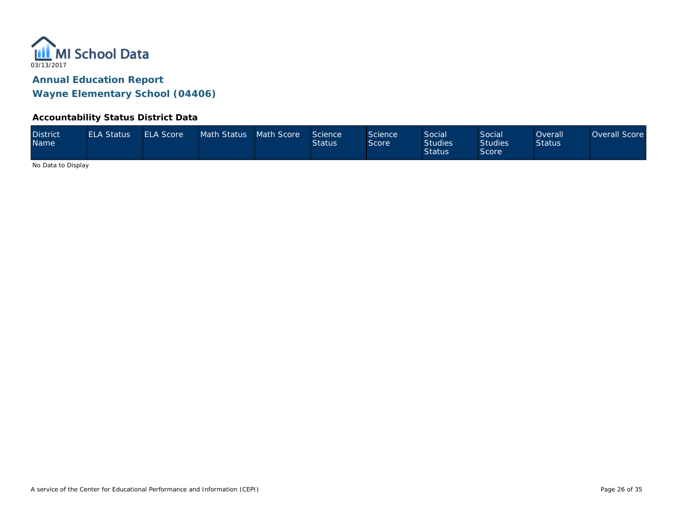

#### **Accountability Status District Data**

| <b>District</b><br><b>Name</b> | <b>ELA Status</b> | <b>ELA Score</b> | Math Status Math Score |  | Science<br><b>Status</b> | Science<br>Score | <b>Social</b><br><b>Studies</b><br><b>Status</b> | Social<br>Studies <sup>1</sup><br>Score | Overall<br><b>Status</b> | Overall Score |
|--------------------------------|-------------------|------------------|------------------------|--|--------------------------|------------------|--------------------------------------------------|-----------------------------------------|--------------------------|---------------|
|--------------------------------|-------------------|------------------|------------------------|--|--------------------------|------------------|--------------------------------------------------|-----------------------------------------|--------------------------|---------------|

No Data to Display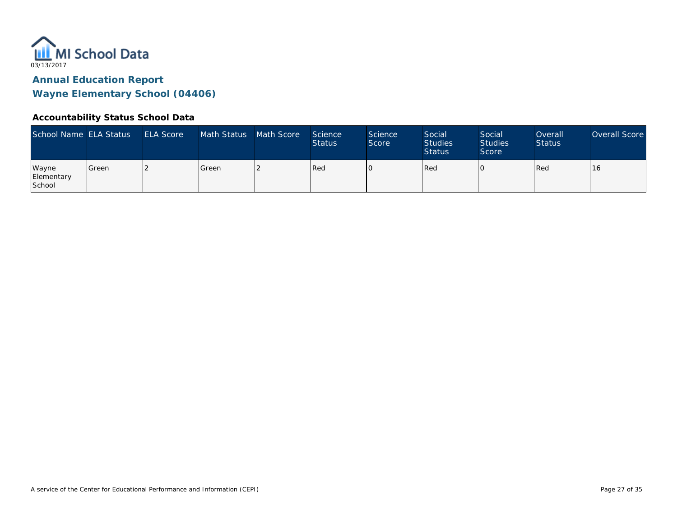

#### **Accountability Status School Data**

| School Name ELA Status        |         | <b>ELA Score</b> | Math Status   | Math Score | Science<br><b>Status</b> | <b>Science</b><br>Score | Social<br><b>Studies</b><br><b>Status</b> | Social<br><b>Studies</b><br>Score | Overall<br><b>Status</b> | Overall Score |
|-------------------------------|---------|------------------|---------------|------------|--------------------------|-------------------------|-------------------------------------------|-----------------------------------|--------------------------|---------------|
| Wayne<br>Elementary<br>School | l Green |                  | <b>S</b> reen |            | Red                      |                         | Red                                       |                                   | Red                      | 16            |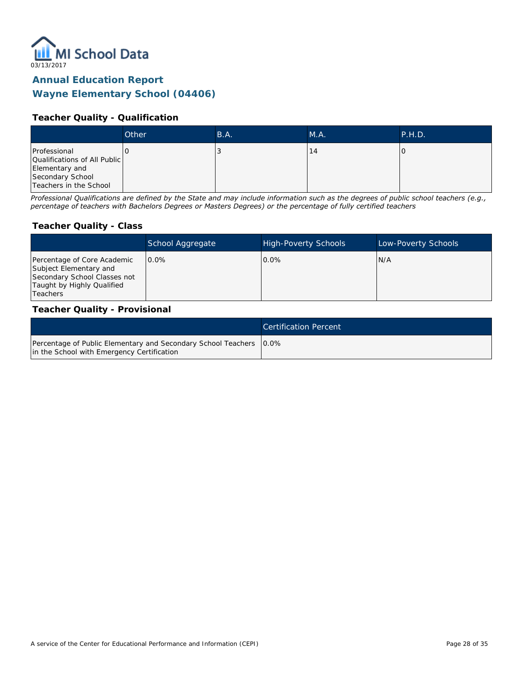

#### **Teacher Quality - Qualification**

|                                                                                                              | Other | B.A. | M.A. | P.H.D. |
|--------------------------------------------------------------------------------------------------------------|-------|------|------|--------|
| Professional<br>Qualifications of All Public<br>Elementary and<br>Secondary School<br>Teachers in the School |       |      | ۱4   |        |

*Professional Qualifications are defined by the State and may include information such as the degrees of public school teachers (e.g., percentage of teachers with Bachelors Degrees or Masters Degrees) or the percentage of fully certified teachers*

#### **Teacher Quality - Class**

|                                                                                                                                        | School Aggregate | <b>High-Poverty Schools</b> | Low-Poverty Schools |
|----------------------------------------------------------------------------------------------------------------------------------------|------------------|-----------------------------|---------------------|
| Percentage of Core Academic<br>Subject Elementary and<br>Secondary School Classes not<br>Taught by Highly Qualified<br><b>Teachers</b> | $0.0\%$          | $0.0\%$                     | N/A                 |

#### **Teacher Quality - Provisional**

|                                                                                                                    | Certification Percent |
|--------------------------------------------------------------------------------------------------------------------|-----------------------|
| Percentage of Public Elementary and Secondary School Teachers   0.0%<br>in the School with Emergency Certification |                       |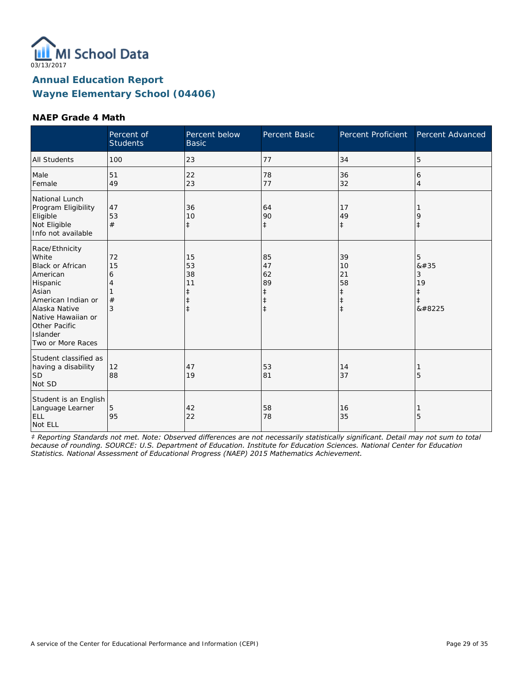

#### **NAEP Grade 4 Math**

|                                                                                                                                                                                                    | Percent of<br><b>Students</b> | Percent below<br><b>Basic</b>                                  | Percent Basic                                         | Percent Proficient                                             | Percent Advanced                                   |
|----------------------------------------------------------------------------------------------------------------------------------------------------------------------------------------------------|-------------------------------|----------------------------------------------------------------|-------------------------------------------------------|----------------------------------------------------------------|----------------------------------------------------|
| <b>All Students</b>                                                                                                                                                                                | 100                           | 23                                                             | 77                                                    | 34                                                             | 5                                                  |
| Male<br>Female                                                                                                                                                                                     | 51<br>49                      | 22<br>23                                                       | 78<br>77                                              | 36<br>32                                                       | 6<br>4                                             |
| National Lunch<br>Program Eligibility<br>Eligible<br>Not Eligible<br>Info not available                                                                                                            | 47<br>53<br>#                 | 36<br>10<br>$\ddagger$                                         | 64<br>90<br>$\ddagger$                                | 17<br>49<br>$\ddagger$                                         | 9<br>$\ddagger$                                    |
| Race/Ethnicity<br>White<br><b>Black or African</b><br>American<br>Hispanic<br>Asian<br>American Indian or<br>Alaska Native<br>Native Hawaiian or<br>Other Pacific<br>Islander<br>Two or More Races | 72<br>15<br>6<br>4<br>#<br>3  | 15<br>53<br>38<br>11<br>$\ddagger$<br>$\ddagger$<br>$\ddagger$ | 85<br>47<br>62<br>89<br>ŧ<br>$\ddagger$<br>$\ddagger$ | 39<br>10<br>21<br>58<br>$\ddagger$<br>$\ddagger$<br>$\ddagger$ | 5<br>#<br>3<br>19<br>$\ddagger$<br>$\ddagger$<br>‡ |
| Student classified as<br>having a disability<br><b>SD</b><br>Not SD                                                                                                                                | 12<br>88                      | 47<br>19                                                       | 53<br>81                                              | 14<br>37                                                       | 5                                                  |
| Student is an English<br>Language Learner<br>ELL<br>Not ELL                                                                                                                                        | 5<br>95                       | 42<br>22                                                       | 58<br>78                                              | 16<br>35                                                       | 5                                                  |

*‡ Reporting Standards not met. Note: Observed differences are not necessarily statistically significant. Detail may not sum to total because of rounding. SOURCE: U.S. Department of Education. Institute for Education Sciences. National Center for Education Statistics. National Assessment of Educational Progress (NAEP) 2015 Mathematics Achievement.*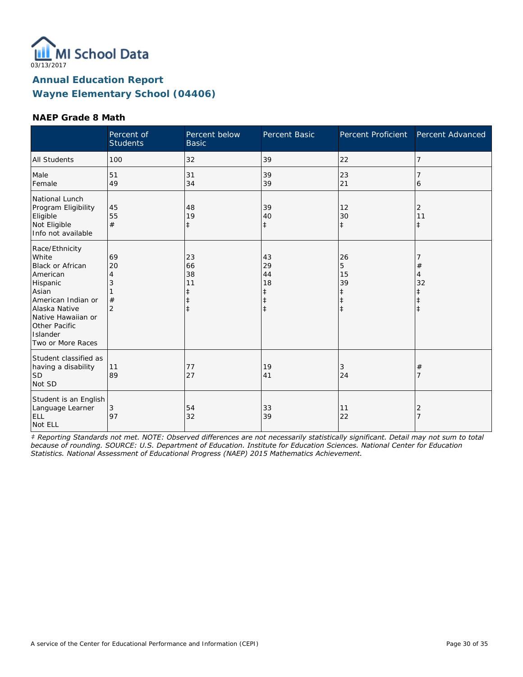

#### **NAEP Grade 8 Math**

|                                                                                                                                                                                                    | Percent of<br><b>Students</b>             | Percent below<br><b>Basic</b>                                  | Percent Basic                                         | Percent Proficient                                            | Percent Advanced                                                       |
|----------------------------------------------------------------------------------------------------------------------------------------------------------------------------------------------------|-------------------------------------------|----------------------------------------------------------------|-------------------------------------------------------|---------------------------------------------------------------|------------------------------------------------------------------------|
| <b>All Students</b>                                                                                                                                                                                | 100                                       | 32                                                             | 39                                                    | 22                                                            | 7                                                                      |
| Male<br>Female                                                                                                                                                                                     | 51<br>49                                  | 31<br>34                                                       | 39<br>39                                              | 23<br>21                                                      | 6                                                                      |
| National Lunch<br>Program Eligibility<br>Eligible<br>Not Eligible<br>Info not available                                                                                                            | 45<br>55<br>#                             | 48<br>19<br>$\ddagger$                                         | 39<br>40<br>$\ddagger$                                | 12<br>30<br>$\ddagger$                                        | 2<br>11<br>$\ddagger$                                                  |
| Race/Ethnicity<br>White<br><b>Black or African</b><br>American<br>Hispanic<br>Asian<br>American Indian or<br>Alaska Native<br>Native Hawaiian or<br>Other Pacific<br>Islander<br>Two or More Races | 69<br>20<br>4<br>3<br>#<br>$\overline{2}$ | 23<br>66<br>38<br>11<br>$\ddagger$<br>$\ddagger$<br>$\ddagger$ | 43<br>29<br>44<br>18<br>ŧ<br>$\ddagger$<br>$\ddagger$ | 26<br>5<br>15<br>39<br>$\ddagger$<br>$\ddagger$<br>$\ddagger$ | $\#$<br>$\overline{4}$<br>32<br>$\ddagger$<br>$\ddagger$<br>$\ddagger$ |
| Student classified as<br>having a disability<br><b>SD</b><br>Not SD                                                                                                                                | 11<br>89                                  | 77<br>27                                                       | 19<br>41                                              | 3<br>24                                                       | $\#$<br>7                                                              |
| Student is an English<br>Language Learner<br>ELL<br>Not ELL                                                                                                                                        | 3<br>97                                   | 54<br>32                                                       | 33<br>39                                              | 11<br>22                                                      | 2<br>$\overline{7}$                                                    |

*‡ Reporting Standards not met. NOTE: Observed differences are not necessarily statistically significant. Detail may not sum to total because of rounding. SOURCE: U.S. Department of Education. Institute for Education Sciences. National Center for Education Statistics. National Assessment of Educational Progress (NAEP) 2015 Mathematics Achievement.*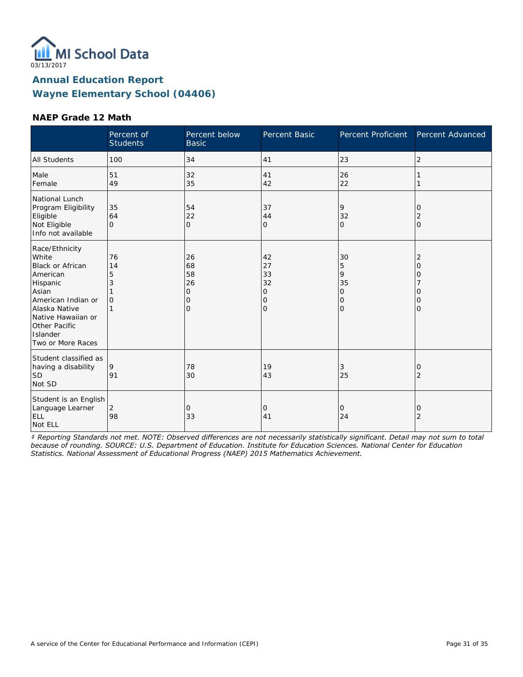

#### **NAEP Grade 12 Math**

|                                                                                                                                                                                                    | Percent of<br><b>Students</b>        | Percent below<br><b>Basic</b>                   | Percent Basic                                              | Percent Proficient                                    | Percent Advanced                                            |
|----------------------------------------------------------------------------------------------------------------------------------------------------------------------------------------------------|--------------------------------------|-------------------------------------------------|------------------------------------------------------------|-------------------------------------------------------|-------------------------------------------------------------|
| <b>All Students</b>                                                                                                                                                                                | 100                                  | 34                                              | 41                                                         | 23                                                    | $\overline{2}$                                              |
| Male<br>Female                                                                                                                                                                                     | 51<br>49                             | 32<br>35                                        | 41<br>42                                                   | 26<br>22                                              |                                                             |
| National Lunch<br>Program Eligibility<br>Eligible<br>Not Eligible<br>Info not available                                                                                                            | 35<br>64<br>$\Omega$                 | 54<br>22<br>$\overline{O}$                      | 37<br>44<br>$\overline{O}$                                 | 9<br>32<br>$\Omega$                                   | 0<br>2<br>$\Omega$                                          |
| Race/Ethnicity<br>White<br><b>Black or African</b><br>American<br>Hispanic<br>Asian<br>American Indian or<br>Alaska Native<br>Native Hawaiian or<br>Other Pacific<br>Islander<br>Two or More Races | 76<br>14<br>5<br>3<br>$\overline{O}$ | 26<br>68<br>58<br>26<br>0<br>0<br>$\mathcal{O}$ | 42<br>27<br>33<br>32<br>0<br>$\mathbf 0$<br>$\overline{O}$ | 30<br>5<br>9<br>35<br>$\overline{O}$<br>0<br>$\Omega$ | $\overline{2}$<br>$\overline{O}$<br>0<br>0<br>0<br>$\Omega$ |
| Student classified as<br>having a disability<br><b>SD</b><br>Not SD                                                                                                                                | 9<br>91                              | 78<br>30                                        | 19<br>43                                                   | 3<br>25                                               | 0<br>$\overline{2}$                                         |
| Student is an English<br>Language Learner<br>ELL<br>Not ELL                                                                                                                                        | $\overline{2}$<br>98                 | 0<br>33                                         | 0<br>41                                                    | 0<br>24                                               | 0<br>$\overline{2}$                                         |

*‡ Reporting Standards not met. NOTE: Observed differences are not necessarily statistically significant. Detail may not sum to total because of rounding. SOURCE: U.S. Department of Education. Institute for Education Sciences. National Center for Education Statistics. National Assessment of Educational Progress (NAEP) 2015 Mathematics Achievement.*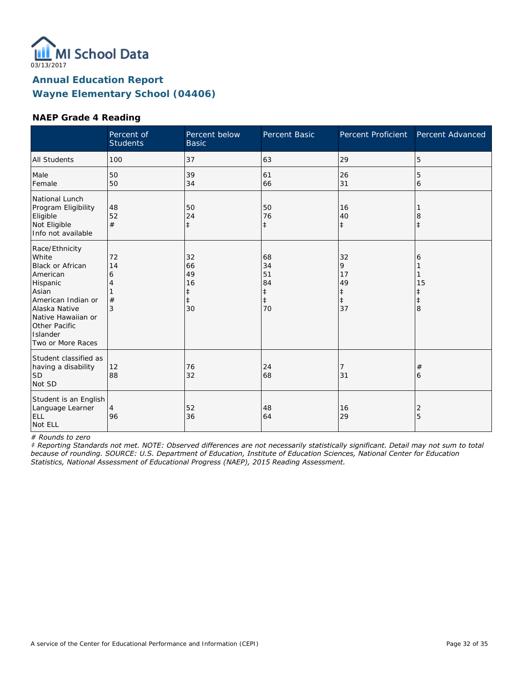

#### **NAEP Grade 4 Reading**

|                                                                                                                                                                                             | Percent of<br><b>Students</b> | Percent below<br><b>Basic</b>                 | Percent Basic                                          | Percent Proficient                           | Percent Advanced                |
|---------------------------------------------------------------------------------------------------------------------------------------------------------------------------------------------|-------------------------------|-----------------------------------------------|--------------------------------------------------------|----------------------------------------------|---------------------------------|
| <b>All Students</b>                                                                                                                                                                         | 100                           | 37                                            | 63                                                     | 29                                           | 5                               |
| Male<br>Female                                                                                                                                                                              | 50<br>50                      | 39<br>34                                      | 61<br>66                                               | 26<br>31                                     | 5<br>6                          |
| National Lunch<br>Program Eligibility<br>Eligible<br>Not Eligible<br>Info not available                                                                                                     | 48<br>52<br>#                 | 50<br>24<br>$\ddagger$                        | 50<br>76<br>$\ddagger$                                 | 16<br>40<br>$\ddagger$                       | 8<br>$\ddagger$                 |
| Race/Ethnicity<br>White<br>Black or African<br>American<br>Hispanic<br>Asian<br>American Indian or<br>Alaska Native<br>Native Hawaiian or<br>Other Pacific<br>Islander<br>Two or More Races | 72<br>14<br>6<br>#<br>3       | 32<br>66<br>49<br>16<br>ŧ<br>$\ddagger$<br>30 | 68<br>34<br>51<br>84<br>$\ddagger$<br>$\ddagger$<br>70 | 32<br>9<br>17<br>49<br>‡<br>$\ddagger$<br>37 | 6<br>15<br>ŧ<br>$\ddagger$<br>8 |
| Student classified as<br>having a disability<br><b>SD</b><br>Not SD                                                                                                                         | 12<br>88                      | 76<br>32                                      | 24<br>68                                               | 7<br>31                                      | #<br>6                          |
| Student is an English<br>Language Learner<br>ELL<br>Not ELL                                                                                                                                 | 4<br>96                       | 52<br>36                                      | 48<br>64                                               | 16<br>29                                     | 2<br>5                          |

*# Rounds to zero*

*‡ Reporting Standards not met. NOTE: Observed differences are not necessarily statistically significant. Detail may not sum to total because of rounding. SOURCE: U.S. Department of Education, Institute of Education Sciences, National Center for Education Statistics, National Assessment of Educational Progress (NAEP), 2015 Reading Assessment.*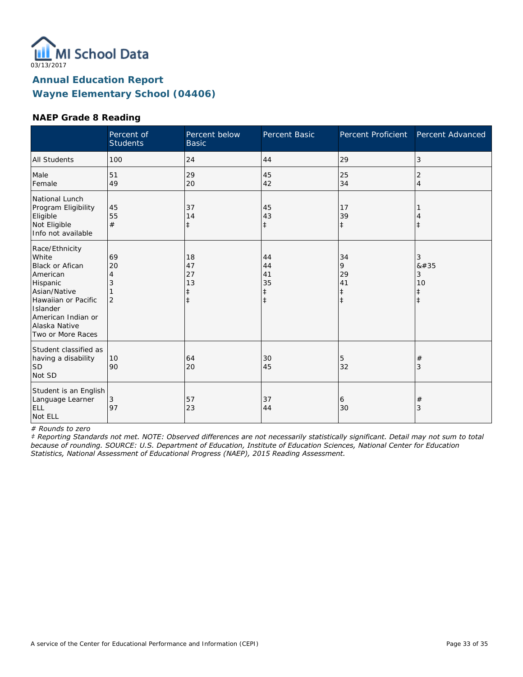

#### **NAEP Grade 8 Reading**

|                                                                                                                                                                                   | Percent of<br><b>Students</b>        | Percent below<br><b>Basic</b>           | Percent Basic                                    | <b>Percent Proficient</b>                       | Percent Advanced                              |
|-----------------------------------------------------------------------------------------------------------------------------------------------------------------------------------|--------------------------------------|-----------------------------------------|--------------------------------------------------|-------------------------------------------------|-----------------------------------------------|
| <b>All Students</b>                                                                                                                                                               | 100                                  | 24                                      | 44                                               | 29                                              | 3                                             |
| Male<br>Female                                                                                                                                                                    | 51<br>49                             | 29<br>20                                | 45<br>42                                         | 25<br>34                                        | 2<br>4                                        |
| National Lunch<br>Program Eligibility<br>Eligible<br>Not Eligible<br>Info not available                                                                                           | 45<br>55<br>#                        | 37<br>14<br>$\ddagger$                  | 45<br>43<br>$\ddagger$                           | 17<br>39<br>$\ddagger$                          | $^{\pm}$                                      |
| Race/Ethnicity<br>White<br>Black or Afican<br>American<br>Hispanic<br>Asian/Native<br>Hawaiian or Pacific<br>Islander<br>American Indian or<br>Alaska Native<br>Two or More Races | 69<br>20<br>4<br>3<br>$\overline{2}$ | 18<br>47<br>27<br>13<br>ŧ<br>$\ddagger$ | 44<br>44<br>41<br>35<br>$\ddagger$<br>$\ddagger$ | 34<br>9<br>29<br>41<br>$\ddagger$<br>$\ddagger$ | 3<br>#<br>3<br>10<br>$\ddagger$<br>$\ddagger$ |
| Student classified as<br>having a disability<br>lsd<br>Not SD                                                                                                                     | 10<br>90                             | 64<br>20                                | 30<br>45                                         | 5<br>32                                         | #<br>3                                        |
| Student is an English<br>Language Learner<br>ELL<br>Not ELL                                                                                                                       | 3<br>97                              | 57<br>23                                | 37<br>44                                         | 6<br>30                                         | $^{\#}$<br>3                                  |

*# Rounds to zero*

*‡ Reporting Standards not met. NOTE: Observed differences are not necessarily statistically significant. Detail may not sum to total because of rounding. SOURCE: U.S. Department of Education, Institute of Education Sciences, National Center for Education Statistics, National Assessment of Educational Progress (NAEP), 2015 Reading Assessment.*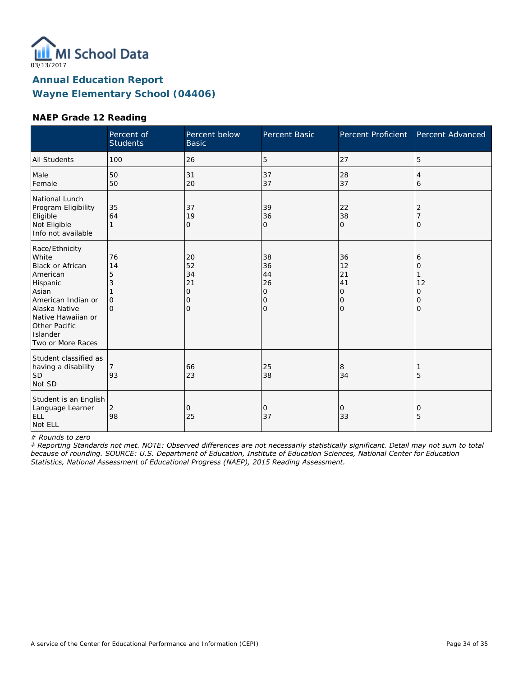

#### **NAEP Grade 12 Reading**

|                                                                                                                                                                                                    | Percent of<br><b>Students</b>                  | Percent below<br><b>Basic</b>                              | Percent Basic                                    | Percent Proficient                          | Percent Advanced                               |
|----------------------------------------------------------------------------------------------------------------------------------------------------------------------------------------------------|------------------------------------------------|------------------------------------------------------------|--------------------------------------------------|---------------------------------------------|------------------------------------------------|
| <b>All Students</b>                                                                                                                                                                                | 100                                            | 26                                                         | 5                                                | 27                                          | 5                                              |
| Male<br>Female                                                                                                                                                                                     | 50<br>50                                       | 31<br>20                                                   | 37<br>37                                         | 28<br>37                                    | 4<br>6                                         |
| National Lunch<br>Program Eligibility<br>Eligible<br>Not Eligible<br>Info not available                                                                                                            | 35<br>64<br>1                                  | 37<br>19<br>0                                              | 39<br>36<br>0                                    | 22<br>38<br>$\mathbf{O}$                    | 2<br>O                                         |
| Race/Ethnicity<br>White<br><b>Black or African</b><br>American<br>Hispanic<br>Asian<br>American Indian or<br>Alaska Native<br>Native Hawaiian or<br>Other Pacific<br>Islander<br>Two or More Races | 76<br>14<br>5<br>3<br>$\mathbf{O}$<br>$\Omega$ | 20<br>52<br>34<br>21<br>$\mathbf{O}$<br>$\circ$<br>$\circ$ | 38<br>36<br>44<br>26<br>0<br>0<br>$\overline{O}$ | 36<br>12<br>21<br>41<br>0<br>$\circ$<br>l O | 6<br>0<br>12<br>O<br>$\mathcal{O}$<br>$\Omega$ |
| Student classified as<br>having a disability<br><b>SD</b><br>Not SD                                                                                                                                | 93                                             | 66<br>23                                                   | 25<br>38                                         | 8<br>34                                     | 5                                              |
| Student is an English<br>Language Learner<br>ELL<br>Not ELL                                                                                                                                        | 2<br>98                                        | $\mathbf{O}$<br>25                                         | 0<br>37                                          | $\mathbf{O}$<br>33                          | 0<br>5                                         |

*# Rounds to zero*

*‡ Reporting Standards not met. NOTE: Observed differences are not necessarily statistically significant. Detail may not sum to total because of rounding. SOURCE: U.S. Department of Education, Institute of Education Sciences, National Center for Education Statistics, National Assessment of Educational Progress (NAEP), 2015 Reading Assessment.*